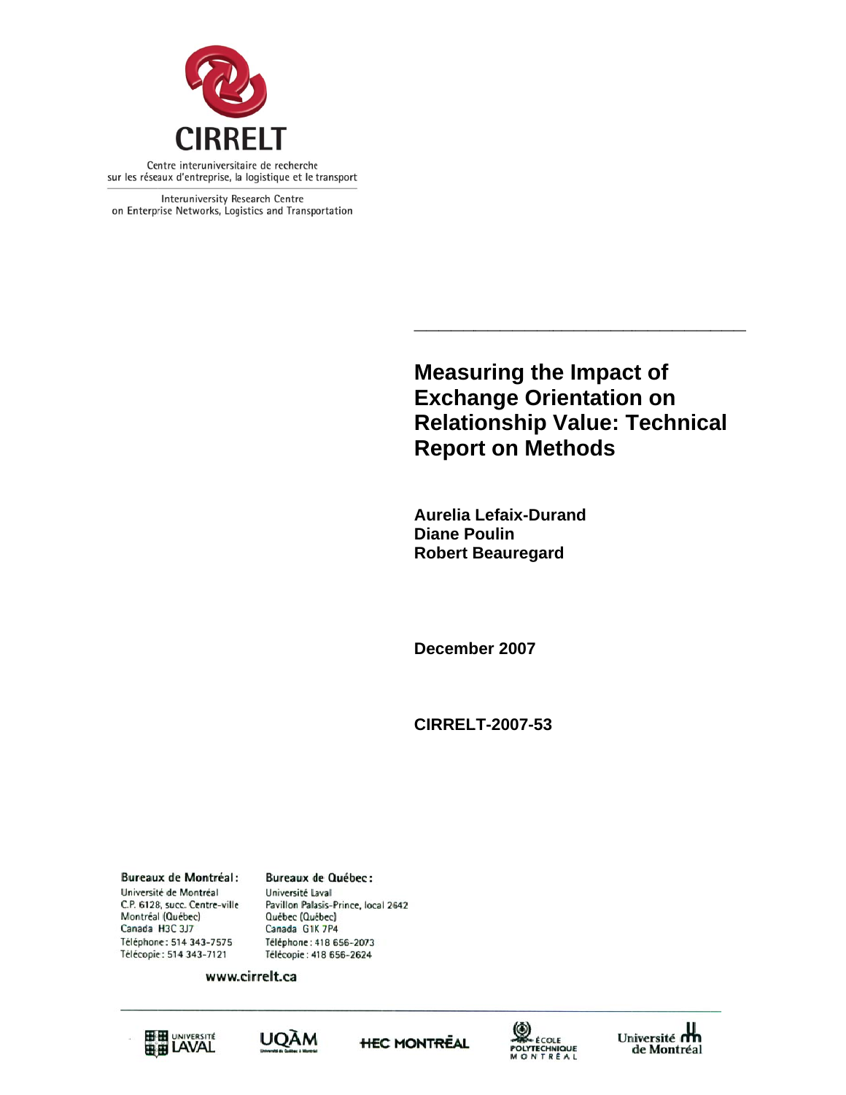

Interuniversity Research Centre on Enterprise Networks, Logistics and Transportation

> **Measuring the Impact of Exchange Orientation on Relationship Value: Technical Report on Methods**

**\_\_\_\_\_\_\_**

**\_\_\_\_\_\_\_\_**

**\_\_\_** 

**Aurelia Lefaix-Dur rand Diane P Poulin Robert Beauregard** 

**\_\_\_\_\_\_\_\_**

December 2007

**\_\_\_\_\_**

**CIRREL LT-2007-53**

**Bureaux de Montréal:** Université de Montréal C.P. 6128, succ. Centre-ville Montréal (Québec) Canada H3C 3J7 Téléphone: 514 343-7575 Télécopie: 514 343-7121

**Bureaux de Québec:** Université Laval Pavillon Palasis-Prince, local 2642 Québec (Québec) Canada G1K 7P4 Téléphone: 418 656-2073 Télécopie: 418 656-2624

www.cirrelt.ca









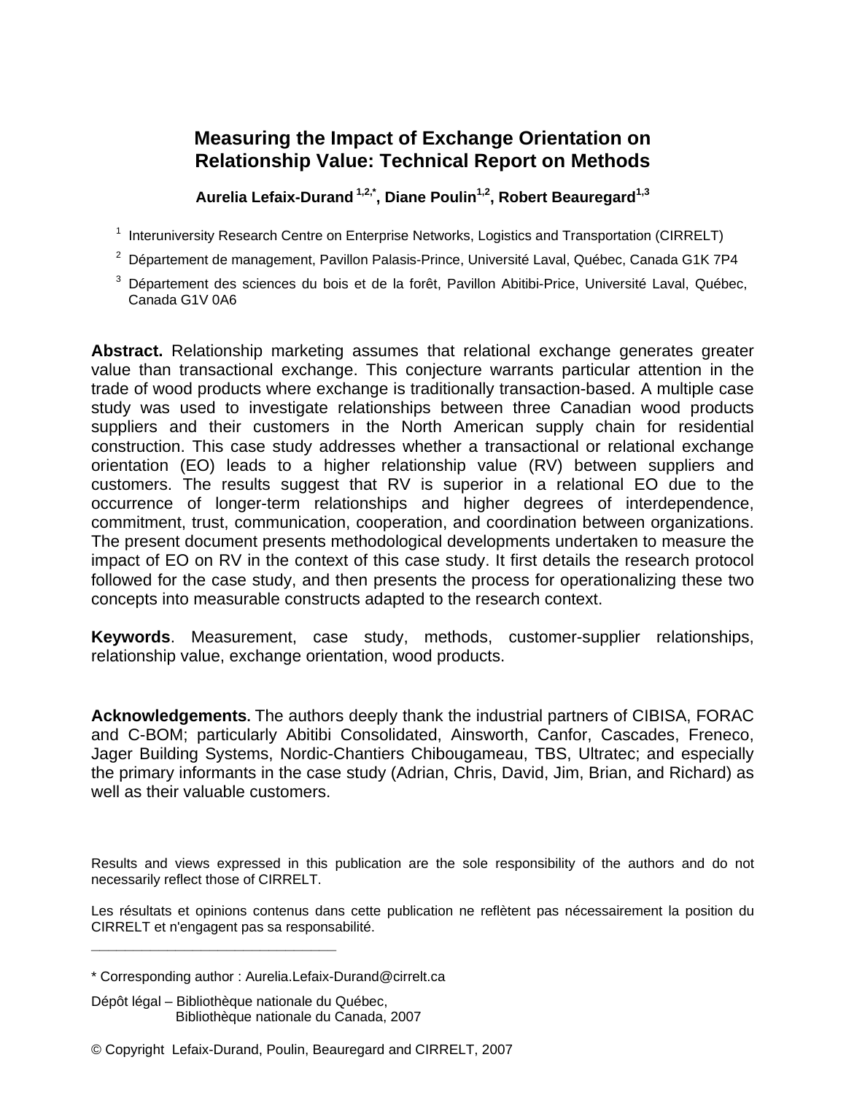### **Measuring the Impact of Exchange Orientation on Relationship Value: Technical Report on Methods**

Aurelia Lefaix-Durand<sup>1,2,\*</sup>, Diane Poulin<sup>1,2</sup>, Robert Beauregard<sup>1,3</sup>

- <sup>1</sup> Interuniversity Research Centre on Enterprise Networks, Logistics and Transportation (CIRRELT)
- $^{2}$  Département de management, Pavillon Palasis-Prince, Université Laval, Québec, Canada G1K 7P4
- 3 Département des sciences du bois et de la forêt, Pavillon Abitibi-Price, Université Laval, Québec, Canada G1V 0A6

**Abstract.** Relationship marketing assumes that relational exchange generates greater value than transactional exchange. This conjecture warrants particular attention in the trade of wood products where exchange is traditionally transaction-based. A multiple case study was used to investigate relationships between three Canadian wood products suppliers and their customers in the North American supply chain for residential construction. This case study addresses whether a transactional or relational exchange orientation (EO) leads to a higher relationship value (RV) between suppliers and customers. The results suggest that RV is superior in a relational EO due to the occurrence of longer-term relationships and higher degrees of interdependence, commitment, trust, communication, cooperation, and coordination between organizations. The present document presents methodological developments undertaken to measure the impact of EO on RV in the context of this case study. It first details the research protocol followed for the case study, and then presents the process for operationalizing these two concepts into measurable constructs adapted to the research context.

**Keywords**. Measurement, case study, methods, customer-supplier relationships, relationship value, exchange orientation, wood products.

**Acknowledgements.** The authors deeply thank the industrial partners of CIBISA, FORAC and C-BOM; particularly Abitibi Consolidated, Ainsworth, Canfor, Cascades, Freneco, Jager Building Systems, Nordic-Chantiers Chibougameau, TBS, Ultratec; and especially the primary informants in the case study (Adrian, Chris, David, Jim, Brian, and Richard) as well as their valuable customers.

Results and views expressed in this publication are the sole responsibility of the authors and do not necessarily reflect those of CIRRELT.

Les résultats et opinions contenus dans cette publication ne reflètent pas nécessairement la position du CIRRELT et n'engagent pas sa responsabilité.

Dépôt légal – Bibliothèque nationale du Québec, Bibliothèque nationale du Canada, 2007

**\_\_\_\_\_\_\_\_\_\_\_\_\_\_\_\_\_\_\_\_\_\_\_\_\_\_\_\_\_**

<sup>\*</sup> Corresponding author : Aurelia.Lefaix-Durand@cirrelt.ca

<sup>©</sup> Copyright Lefaix-Durand, Poulin, Beauregard and CIRRELT, 2007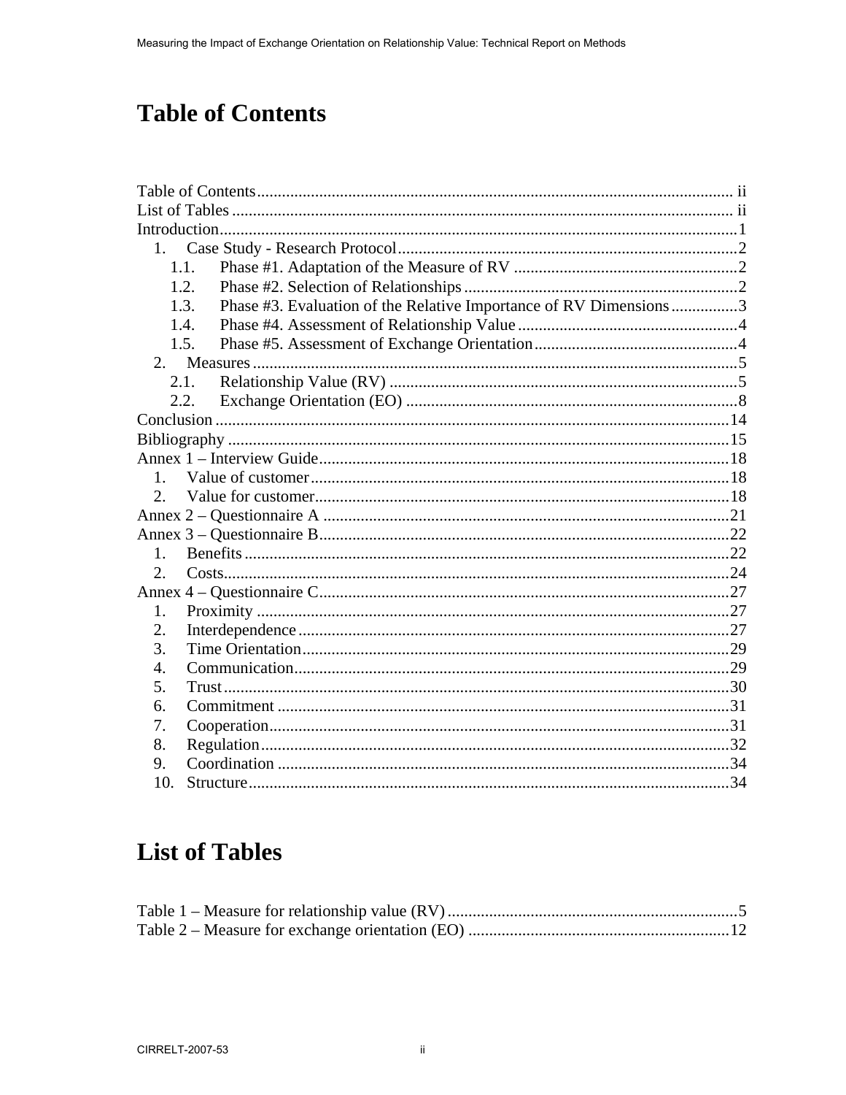# **Table of Contents**

| 1.               |                                                                           |  |
|------------------|---------------------------------------------------------------------------|--|
|                  | 1.1.                                                                      |  |
|                  | 1.2.                                                                      |  |
|                  | Phase #3. Evaluation of the Relative Importance of RV Dimensions3<br>1.3. |  |
|                  | 1.4.                                                                      |  |
|                  | 1.5.                                                                      |  |
|                  |                                                                           |  |
|                  | 2.1.                                                                      |  |
|                  | 2.2.                                                                      |  |
|                  |                                                                           |  |
|                  |                                                                           |  |
|                  |                                                                           |  |
| 1.               |                                                                           |  |
| $\overline{2}$ . |                                                                           |  |
|                  |                                                                           |  |
|                  |                                                                           |  |
| $1_{-}$          |                                                                           |  |
| 2.               |                                                                           |  |
|                  |                                                                           |  |
| 1.               |                                                                           |  |
| 2.               |                                                                           |  |
| 3.               |                                                                           |  |
| 4.               |                                                                           |  |
| 5.               |                                                                           |  |
| 6.               |                                                                           |  |
| 7.               |                                                                           |  |
| 8.               |                                                                           |  |
| 9.               |                                                                           |  |
| 10.              |                                                                           |  |

# **List of Tables**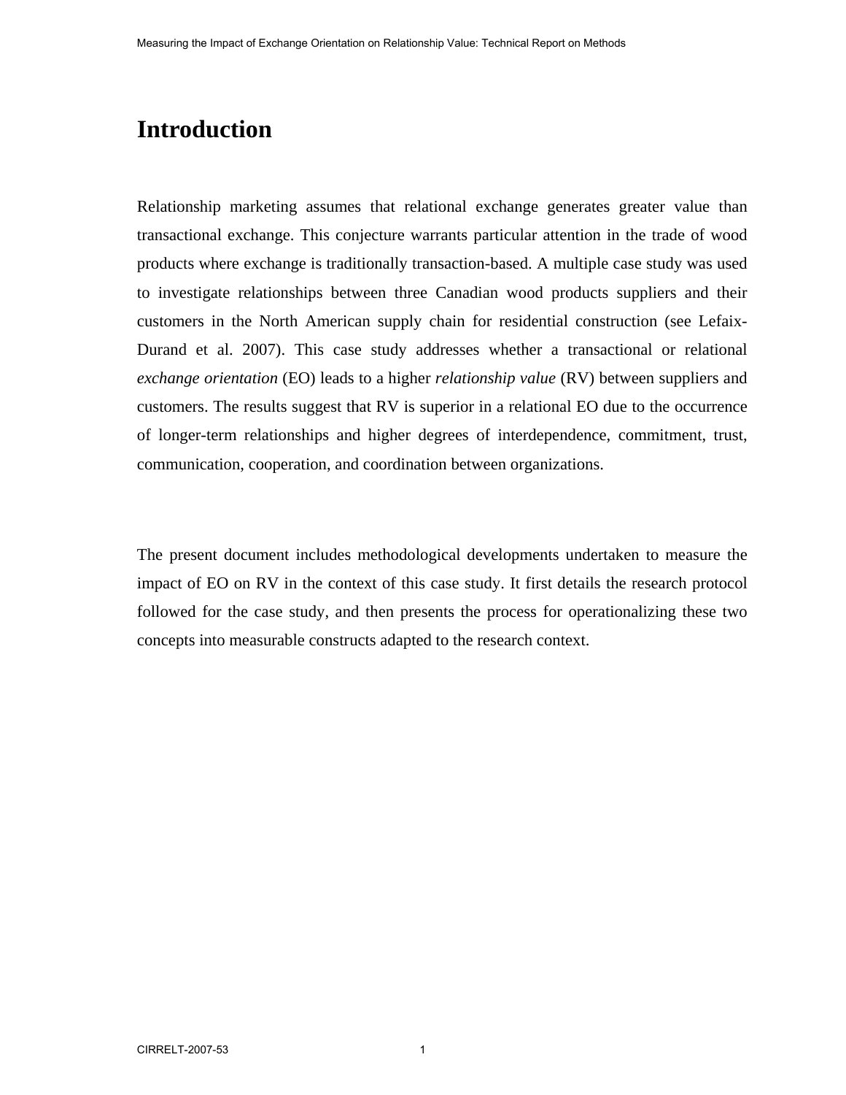## **Introduction**

Relationship marketing assumes that relational exchange generates greater value than transactional exchange. This conjecture warrants particular attention in the trade of wood products where exchange is traditionally transaction-based. A multiple case study was used to investigate relationships between three Canadian wood products suppliers and their customers in the North American supply chain for residential construction (see Lefaix-Durand et al. 2007). This case study addresses whether a transactional or relational *exchange orientation* (EO) leads to a higher *relationship value* (RV) between suppliers and customers. The results suggest that RV is superior in a relational EO due to the occurrence of longer-term relationships and higher degrees of interdependence, commitment, trust, communication, cooperation, and coordination between organizations.

The present document includes methodological developments undertaken to measure the impact of EO on RV in the context of this case study. It first details the research protocol followed for the case study, and then presents the process for operationalizing these two concepts into measurable constructs adapted to the research context.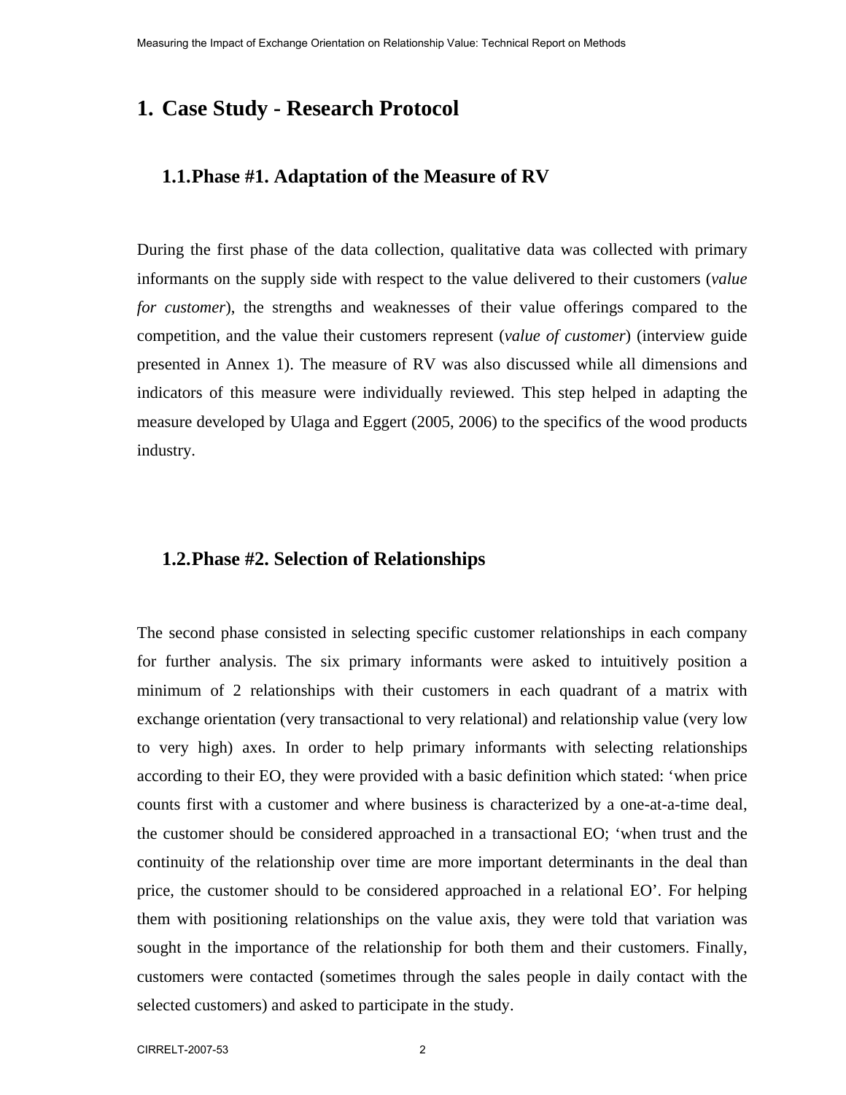### **1. Case Study - Research Protocol**

#### **1.1.Phase #1. Adaptation of the Measure of RV**

During the first phase of the data collection, qualitative data was collected with primary informants on the supply side with respect to the value delivered to their customers (*value for customer*), the strengths and weaknesses of their value offerings compared to the competition, and the value their customers represent (*value of customer*) (interview guide presented in Annex 1). The measure of RV was also discussed while all dimensions and indicators of this measure were individually reviewed. This step helped in adapting the measure developed by Ulaga and Eggert (2005, 2006) to the specifics of the wood products industry.

#### **1.2.Phase #2. Selection of Relationships**

The second phase consisted in selecting specific customer relationships in each company for further analysis. The six primary informants were asked to intuitively position a minimum of 2 relationships with their customers in each quadrant of a matrix with exchange orientation (very transactional to very relational) and relationship value (very low to very high) axes. In order to help primary informants with selecting relationships according to their EO, they were provided with a basic definition which stated: 'when price counts first with a customer and where business is characterized by a one-at-a-time deal, the customer should be considered approached in a transactional EO; 'when trust and the continuity of the relationship over time are more important determinants in the deal than price, the customer should to be considered approached in a relational EO'. For helping them with positioning relationships on the value axis, they were told that variation was sought in the importance of the relationship for both them and their customers. Finally, customers were contacted (sometimes through the sales people in daily contact with the selected customers) and asked to participate in the study.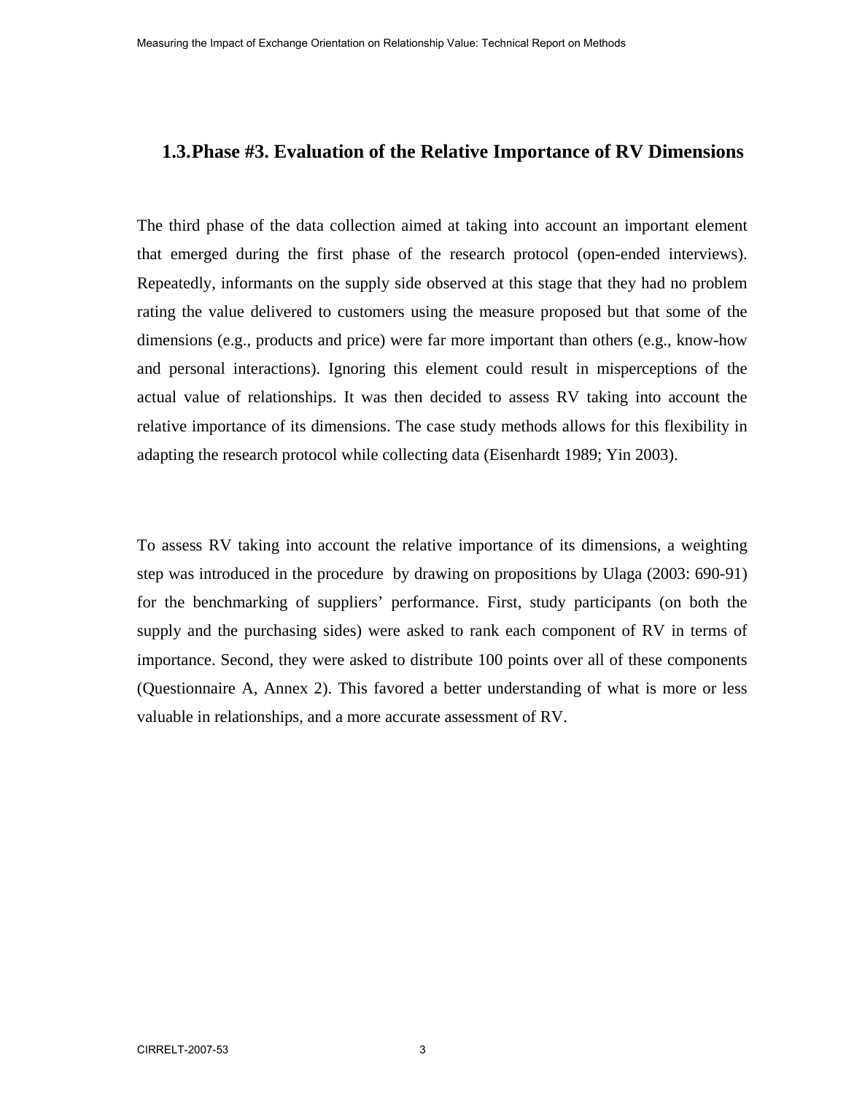#### **1.3.Phase #3. Evaluation of the Relative Importance of RV Dimensions**

The third phase of the data collection aimed at taking into account an important element that emerged during the first phase of the research protocol (open-ended interviews). Repeatedly, informants on the supply side observed at this stage that they had no problem rating the value delivered to customers using the measure proposed but that some of the dimensions (e.g., products and price) were far more important than others (e.g., know-how and personal interactions). Ignoring this element could result in misperceptions of the actual value of relationships. It was then decided to assess RV taking into account the relative importance of its dimensions. The case study methods allows for this flexibility in adapting the research protocol while collecting data (Eisenhardt 1989; Yin 2003).

To assess RV taking into account the relative importance of its dimensions, a weighting step was introduced in the procedure by drawing on propositions by Ulaga (2003: 690-91) for the benchmarking of suppliers' performance. First, study participants (on both the supply and the purchasing sides) were asked to rank each component of RV in terms of importance. Second, they were asked to distribute 100 points over all of these components (Questionnaire A, Annex 2). This favored a better understanding of what is more or less valuable in relationships, and a more accurate assessment of RV.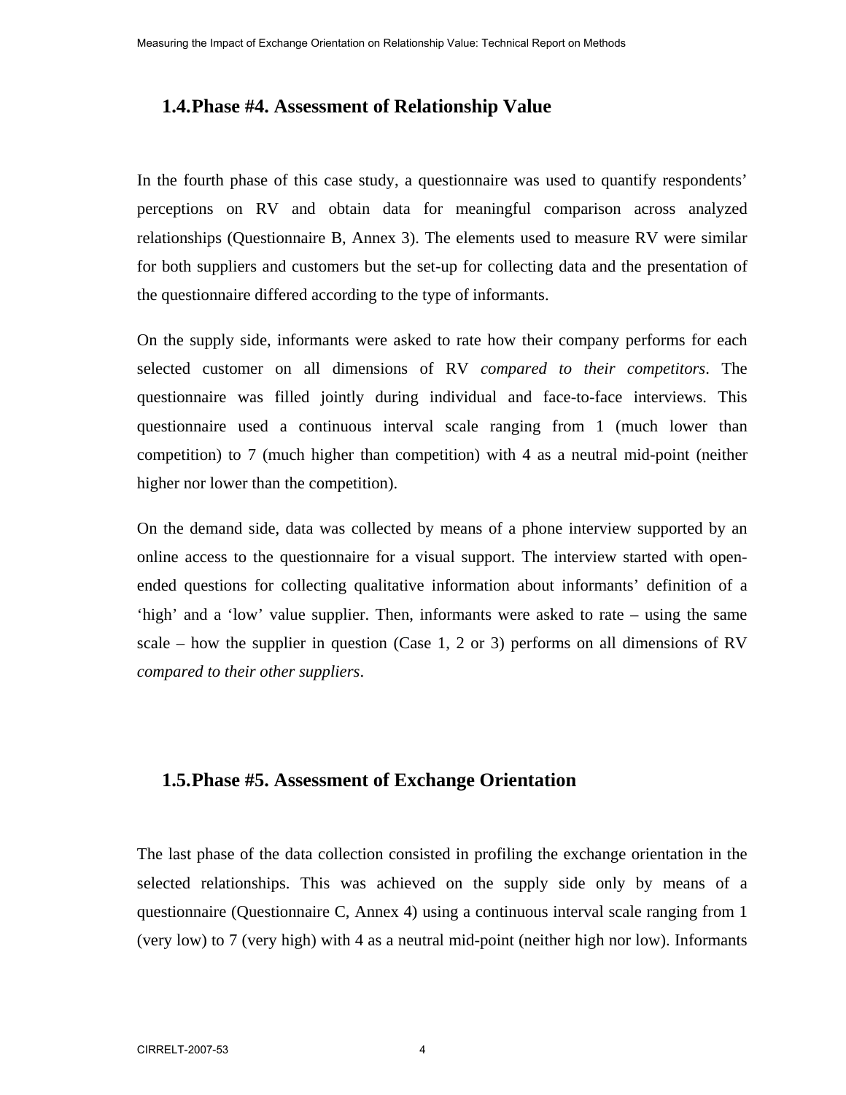#### **1.4.Phase #4. Assessment of Relationship Value**

In the fourth phase of this case study, a questionnaire was used to quantify respondents' perceptions on RV and obtain data for meaningful comparison across analyzed relationships (Questionnaire B, Annex 3). The elements used to measure RV were similar for both suppliers and customers but the set-up for collecting data and the presentation of the questionnaire differed according to the type of informants.

On the supply side, informants were asked to rate how their company performs for each selected customer on all dimensions of RV *compared to their competitors*. The questionnaire was filled jointly during individual and face-to-face interviews. This questionnaire used a continuous interval scale ranging from 1 (much lower than competition) to 7 (much higher than competition) with 4 as a neutral mid-point (neither higher nor lower than the competition).

On the demand side, data was collected by means of a phone interview supported by an online access to the questionnaire for a visual support. The interview started with openended questions for collecting qualitative information about informants' definition of a 'high' and a 'low' value supplier. Then, informants were asked to rate – using the same scale – how the supplier in question (Case 1, 2 or 3) performs on all dimensions of RV *compared to their other suppliers*.

#### **1.5.Phase #5. Assessment of Exchange Orientation**

The last phase of the data collection consisted in profiling the exchange orientation in the selected relationships. This was achieved on the supply side only by means of a questionnaire (Questionnaire C, Annex 4) using a continuous interval scale ranging from 1 (very low) to 7 (very high) with 4 as a neutral mid-point (neither high nor low). Informants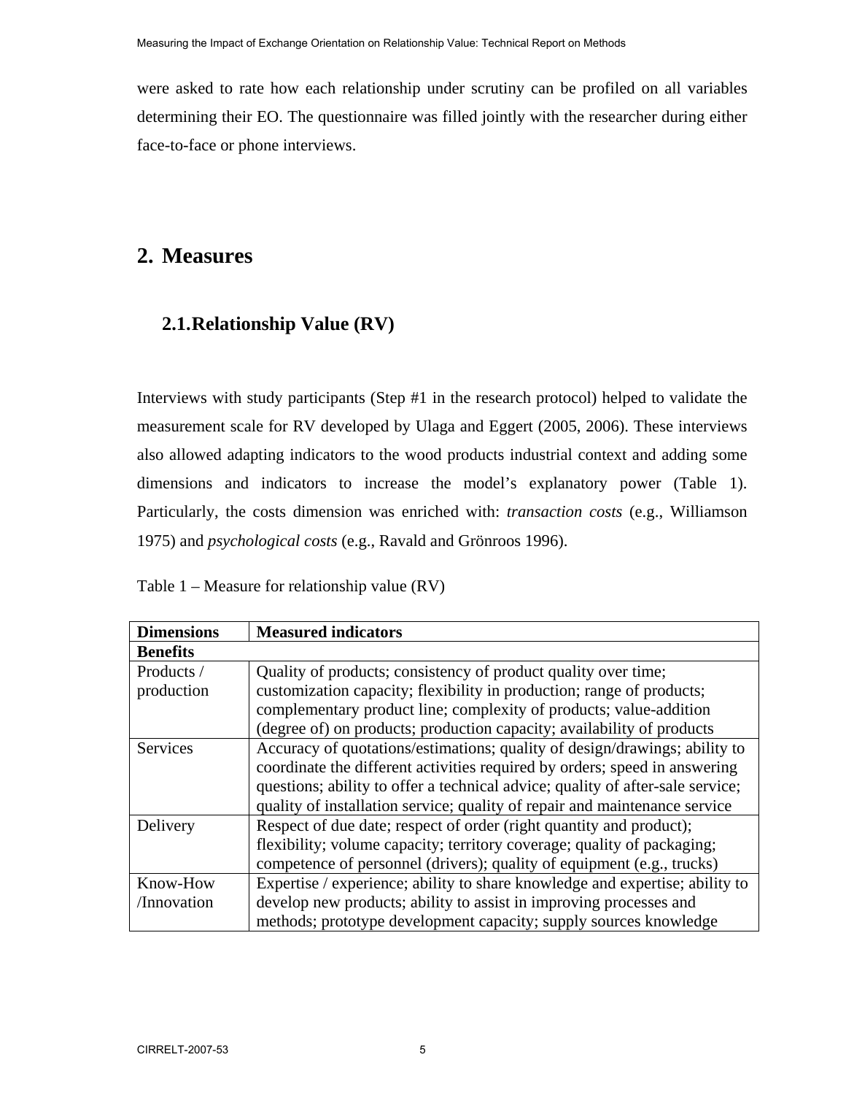were asked to rate how each relationship under scrutiny can be profiled on all variables determining their EO. The questionnaire was filled jointly with the researcher during either face-to-face or phone interviews.

### **2. Measures**

### **2.1.Relationship Value (RV)**

Interviews with study participants (Step #1 in the research protocol) helped to validate the measurement scale for RV developed by Ulaga and Eggert (2005, 2006). These interviews also allowed adapting indicators to the wood products industrial context and adding some dimensions and indicators to increase the model's explanatory power (Table 1). Particularly, the costs dimension was enriched with: *transaction costs* (e.g., Williamson 1975) and *psychological costs* (e.g., Ravald and Grönroos 1996).

Table 1 – Measure for relationship value (RV)

| <b>Dimensions</b> | <b>Measured indicators</b>                                                     |
|-------------------|--------------------------------------------------------------------------------|
| <b>Benefits</b>   |                                                                                |
| Products /        | Quality of products; consistency of product quality over time;                 |
| production        | customization capacity; flexibility in production; range of products;          |
|                   | complementary product line; complexity of products; value-addition             |
|                   | (degree of) on products; production capacity; availability of products         |
| <b>Services</b>   | Accuracy of quotations/estimations; quality of design/drawings; ability to     |
|                   | coordinate the different activities required by orders; speed in answering     |
|                   | questions; ability to offer a technical advice; quality of after-sale service; |
|                   | quality of installation service; quality of repair and maintenance service     |
| Delivery          | Respect of due date; respect of order (right quantity and product);            |
|                   | flexibility; volume capacity; territory coverage; quality of packaging;        |
|                   | competence of personnel (drivers); quality of equipment (e.g., trucks)         |
| Know-How          | Expertise / experience; ability to share knowledge and expertise; ability to   |
| /Innovation       | develop new products; ability to assist in improving processes and             |
|                   | methods; prototype development capacity; supply sources knowledge              |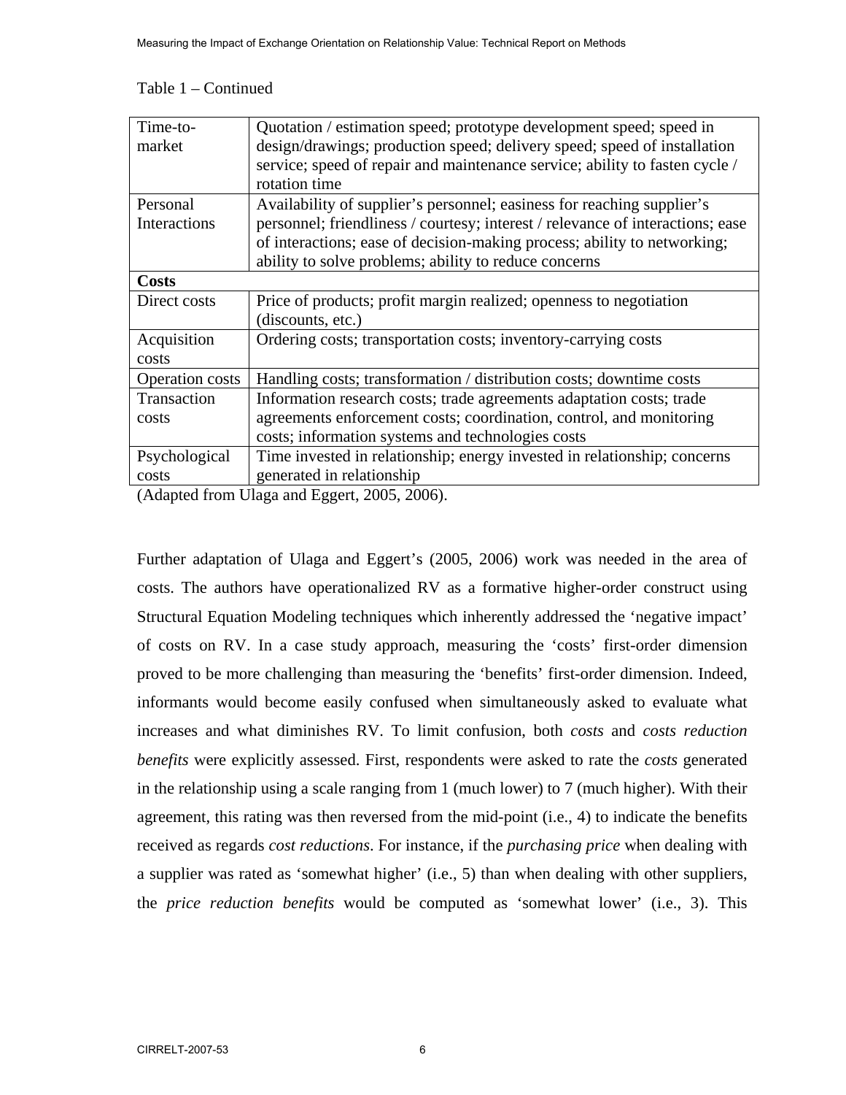#### Table 1 – Continued

| Time-to-               | Quotation / estimation speed; prototype development speed; speed in            |
|------------------------|--------------------------------------------------------------------------------|
| market                 | design/drawings; production speed; delivery speed; speed of installation       |
|                        | service; speed of repair and maintenance service; ability to fasten cycle /    |
|                        | rotation time                                                                  |
| Personal               | Availability of supplier's personnel; easiness for reaching supplier's         |
| Interactions           | personnel; friendliness / courtesy; interest / relevance of interactions; ease |
|                        | of interactions; ease of decision-making process; ability to networking;       |
|                        | ability to solve problems; ability to reduce concerns                          |
| <b>Costs</b>           |                                                                                |
| Direct costs           | Price of products; profit margin realized; openness to negotiation             |
|                        | (discounts, etc.)                                                              |
| Acquisition            | Ordering costs; transportation costs; inventory-carrying costs                 |
| costs                  |                                                                                |
| <b>Operation</b> costs | Handling costs; transformation / distribution costs; downtime costs            |
| Transaction            | Information research costs; trade agreements adaptation costs; trade           |
| costs                  | agreements enforcement costs; coordination, control, and monitoring            |
|                        | costs; information systems and technologies costs                              |
| Psychological          | Time invested in relationship; energy invested in relationship; concerns       |
| costs                  | generated in relationship                                                      |
|                        |                                                                                |

(Adapted from Ulaga and Eggert, 2005, 2006).

Further adaptation of Ulaga and Eggert's (2005, 2006) work was needed in the area of costs. The authors have operationalized RV as a formative higher-order construct using Structural Equation Modeling techniques which inherently addressed the 'negative impact' of costs on RV. In a case study approach, measuring the 'costs' first-order dimension proved to be more challenging than measuring the 'benefits' first-order dimension. Indeed, informants would become easily confused when simultaneously asked to evaluate what increases and what diminishes RV. To limit confusion, both *costs* and *costs reduction benefits* were explicitly assessed. First, respondents were asked to rate the *costs* generated in the relationship using a scale ranging from 1 (much lower) to 7 (much higher). With their agreement, this rating was then reversed from the mid-point (i.e., 4) to indicate the benefits received as regards *cost reductions*. For instance, if the *purchasing price* when dealing with a supplier was rated as 'somewhat higher' (i.e., 5) than when dealing with other suppliers, the *price reduction benefits* would be computed as 'somewhat lower' (i.e., 3). This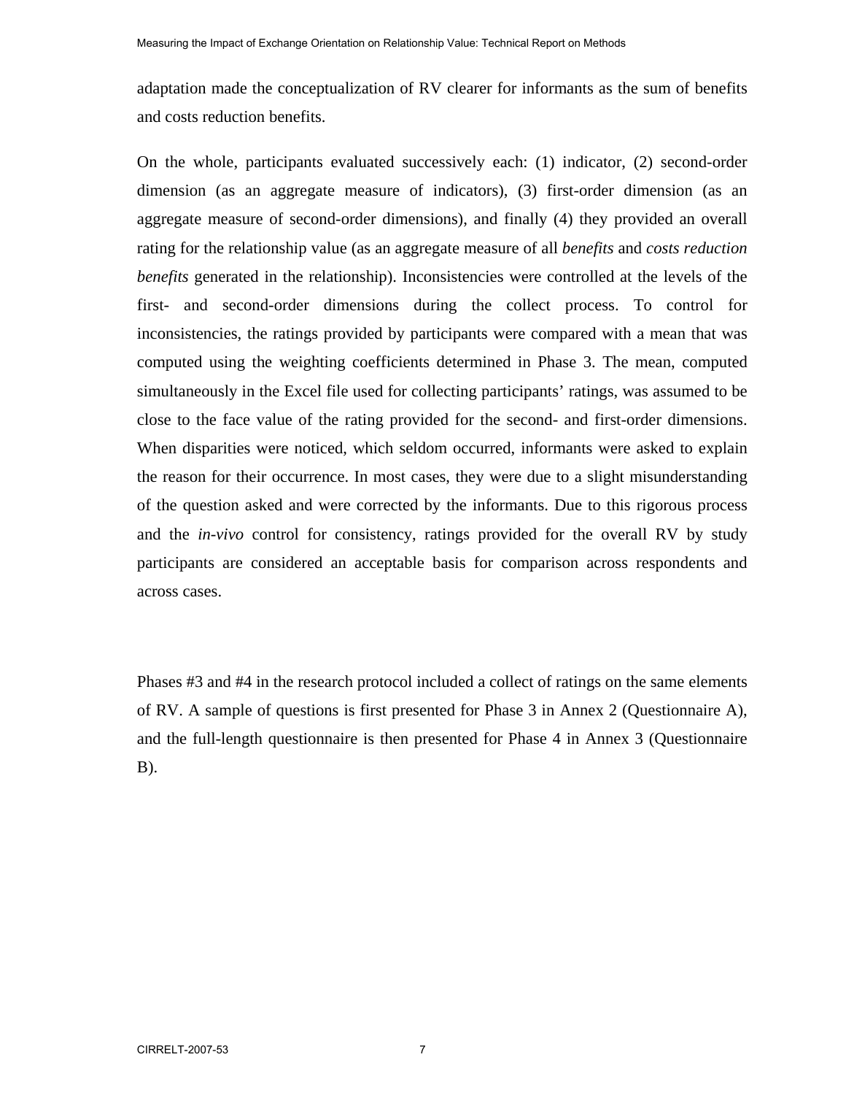adaptation made the conceptualization of RV clearer for informants as the sum of benefits and costs reduction benefits.

On the whole, participants evaluated successively each: (1) indicator, (2) second-order dimension (as an aggregate measure of indicators), (3) first-order dimension (as an aggregate measure of second-order dimensions), and finally (4) they provided an overall rating for the relationship value (as an aggregate measure of all *benefits* and *costs reduction benefits* generated in the relationship). Inconsistencies were controlled at the levels of the first- and second-order dimensions during the collect process. To control for inconsistencies, the ratings provided by participants were compared with a mean that was computed using the weighting coefficients determined in Phase 3. The mean, computed simultaneously in the Excel file used for collecting participants' ratings, was assumed to be close to the face value of the rating provided for the second- and first-order dimensions. When disparities were noticed, which seldom occurred, informants were asked to explain the reason for their occurrence. In most cases, they were due to a slight misunderstanding of the question asked and were corrected by the informants. Due to this rigorous process and the *in-vivo* control for consistency, ratings provided for the overall RV by study participants are considered an acceptable basis for comparison across respondents and across cases.

Phases #3 and #4 in the research protocol included a collect of ratings on the same elements of RV. A sample of questions is first presented for Phase 3 in Annex 2 (Questionnaire A), and the full-length questionnaire is then presented for Phase 4 in Annex 3 (Questionnaire B).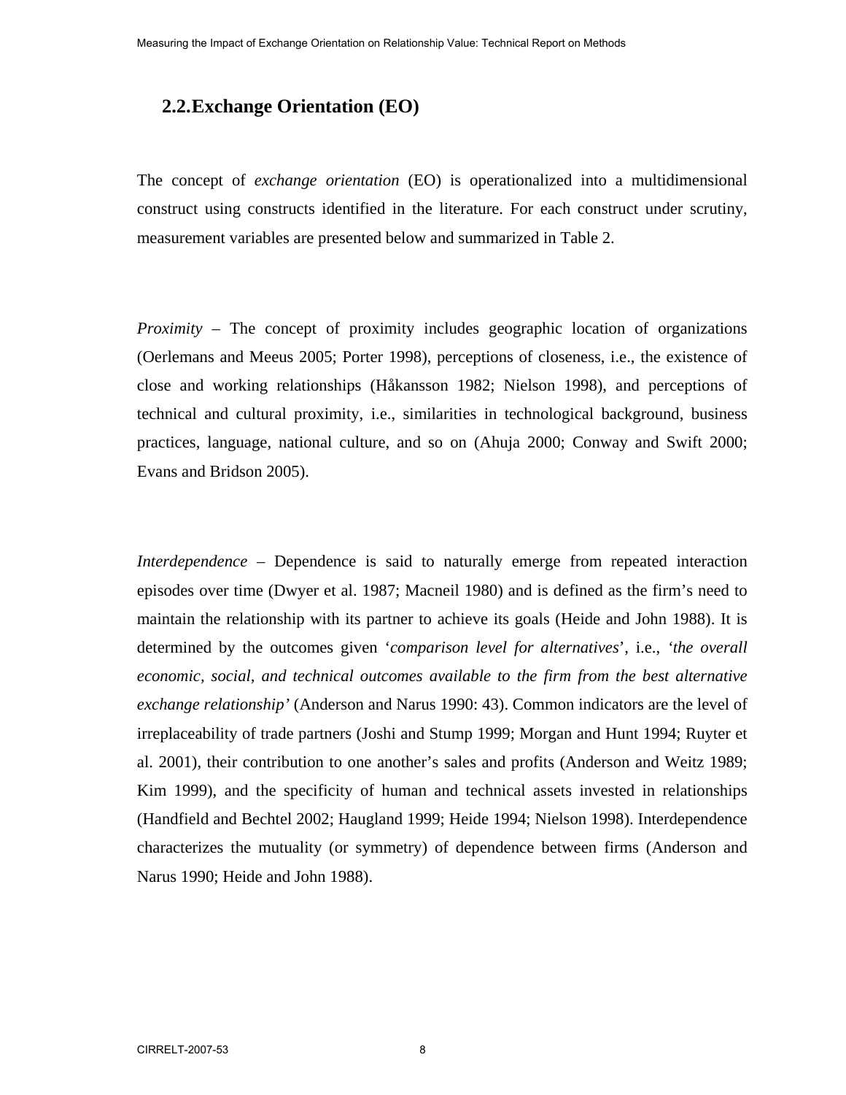#### **2.2.Exchange Orientation (EO)**

The concept of *exchange orientation* (EO) is operationalized into a multidimensional construct using constructs identified in the literature. For each construct under scrutiny, measurement variables are presented below and summarized in Table 2.

*Proximity* – The concept of proximity includes geographic location of organizations (Oerlemans and Meeus 2005; Porter 1998), perceptions of closeness, i.e., the existence of close and working relationships (Håkansson 1982; Nielson 1998), and perceptions of technical and cultural proximity, i.e., similarities in technological background, business practices, language, national culture, and so on (Ahuja 2000; Conway and Swift 2000; Evans and Bridson 2005).

*Interdependence* – Dependence is said to naturally emerge from repeated interaction episodes over time (Dwyer et al. 1987; Macneil 1980) and is defined as the firm's need to maintain the relationship with its partner to achieve its goals (Heide and John 1988). It is determined by the outcomes given '*comparison level for alternatives*', i.e., *'the overall economic, social, and technical outcomes available to the firm from the best alternative exchange relationship'* (Anderson and Narus 1990: 43). Common indicators are the level of irreplaceability of trade partners (Joshi and Stump 1999; Morgan and Hunt 1994; Ruyter et al. 2001), their contribution to one another's sales and profits (Anderson and Weitz 1989; Kim 1999), and the specificity of human and technical assets invested in relationships (Handfield and Bechtel 2002; Haugland 1999; Heide 1994; Nielson 1998). Interdependence characterizes the mutuality (or symmetry) of dependence between firms (Anderson and Narus 1990; Heide and John 1988).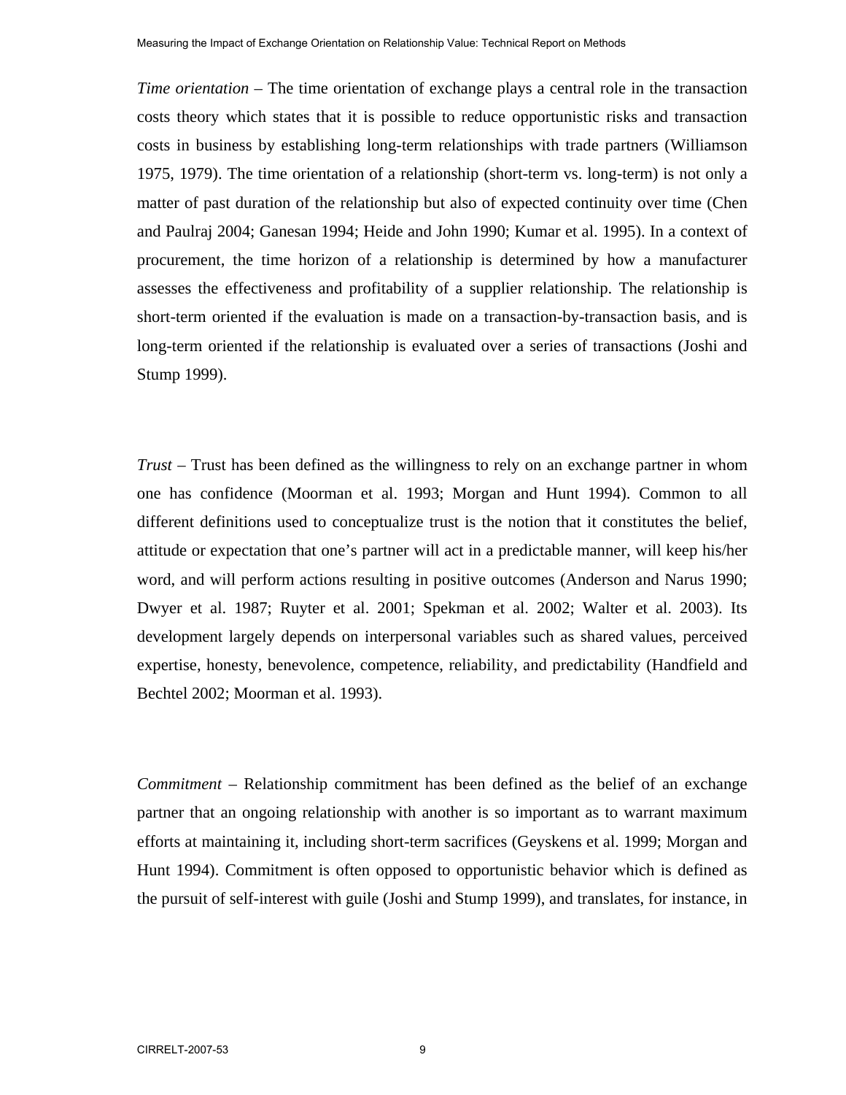*Time orientation* – The time orientation of exchange plays a central role in the transaction costs theory which states that it is possible to reduce opportunistic risks and transaction costs in business by establishing long-term relationships with trade partners (Williamson 1975, 1979). The time orientation of a relationship (short-term vs. long-term) is not only a matter of past duration of the relationship but also of expected continuity over time (Chen and Paulraj 2004; Ganesan 1994; Heide and John 1990; Kumar et al. 1995). In a context of procurement, the time horizon of a relationship is determined by how a manufacturer assesses the effectiveness and profitability of a supplier relationship. The relationship is short-term oriented if the evaluation is made on a transaction-by-transaction basis, and is long-term oriented if the relationship is evaluated over a series of transactions (Joshi and Stump 1999).

*Trust* – Trust has been defined as the willingness to rely on an exchange partner in whom one has confidence (Moorman et al. 1993; Morgan and Hunt 1994). Common to all different definitions used to conceptualize trust is the notion that it constitutes the belief, attitude or expectation that one's partner will act in a predictable manner, will keep his/her word, and will perform actions resulting in positive outcomes (Anderson and Narus 1990; Dwyer et al. 1987; Ruyter et al. 2001; Spekman et al. 2002; Walter et al. 2003). Its development largely depends on interpersonal variables such as shared values, perceived expertise, honesty, benevolence, competence, reliability, and predictability (Handfield and Bechtel 2002; Moorman et al. 1993).

*Commitment* – Relationship commitment has been defined as the belief of an exchange partner that an ongoing relationship with another is so important as to warrant maximum efforts at maintaining it, including short-term sacrifices (Geyskens et al. 1999; Morgan and Hunt 1994). Commitment is often opposed to opportunistic behavior which is defined as the pursuit of self-interest with guile (Joshi and Stump 1999), and translates, for instance, in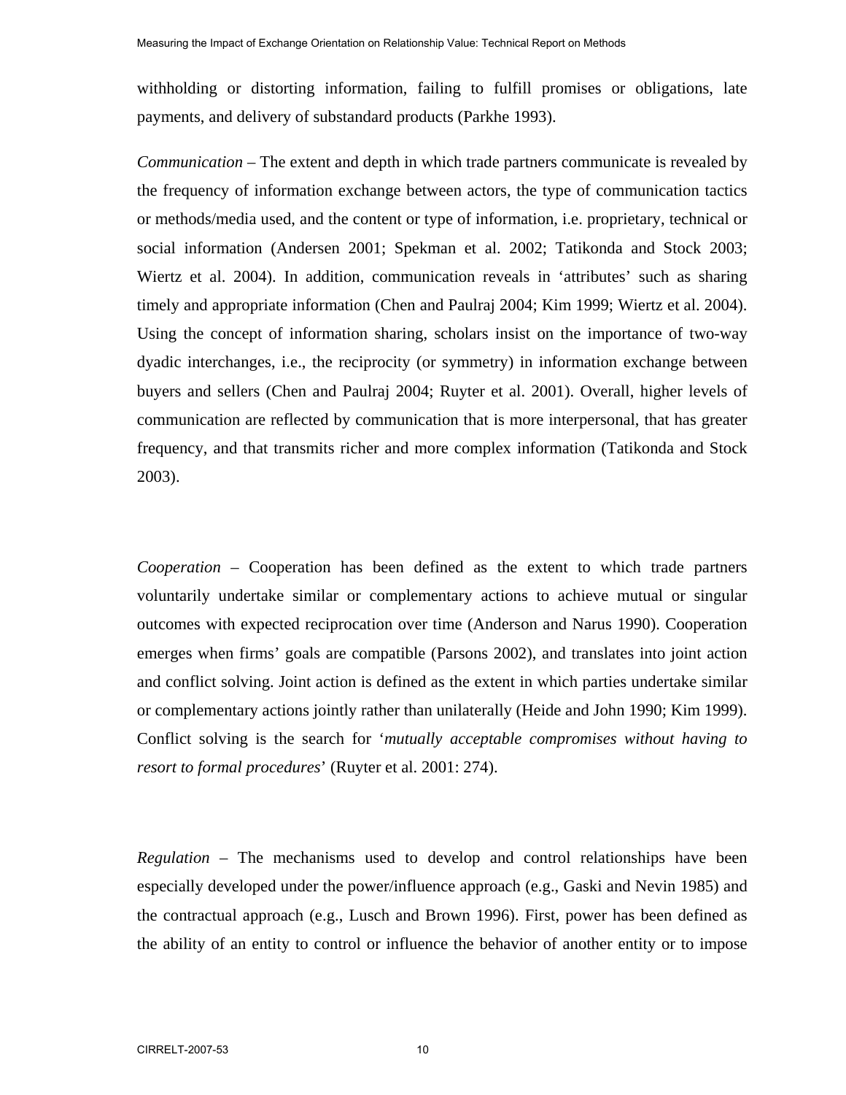withholding or distorting information, failing to fulfill promises or obligations, late payments, and delivery of substandard products (Parkhe 1993).

*Communication* – The extent and depth in which trade partners communicate is revealed by the frequency of information exchange between actors, the type of communication tactics or methods/media used, and the content or type of information, i.e. proprietary, technical or social information (Andersen 2001; Spekman et al. 2002; Tatikonda and Stock 2003; Wiertz et al. 2004). In addition, communication reveals in 'attributes' such as sharing timely and appropriate information (Chen and Paulraj 2004; Kim 1999; Wiertz et al. 2004). Using the concept of information sharing, scholars insist on the importance of two-way dyadic interchanges, i.e., the reciprocity (or symmetry) in information exchange between buyers and sellers (Chen and Paulraj 2004; Ruyter et al. 2001). Overall, higher levels of communication are reflected by communication that is more interpersonal, that has greater frequency, and that transmits richer and more complex information (Tatikonda and Stock 2003).

*Cooperation* – Cooperation has been defined as the extent to which trade partners voluntarily undertake similar or complementary actions to achieve mutual or singular outcomes with expected reciprocation over time (Anderson and Narus 1990). Cooperation emerges when firms' goals are compatible (Parsons 2002), and translates into joint action and conflict solving. Joint action is defined as the extent in which parties undertake similar or complementary actions jointly rather than unilaterally (Heide and John 1990; Kim 1999). Conflict solving is the search for '*mutually acceptable compromises without having to resort to formal procedures*' (Ruyter et al. 2001: 274).

*Regulation –* The mechanisms used to develop and control relationships have been especially developed under the power/influence approach (e.g., Gaski and Nevin 1985) and the contractual approach (e.g., Lusch and Brown 1996). First, power has been defined as the ability of an entity to control or influence the behavior of another entity or to impose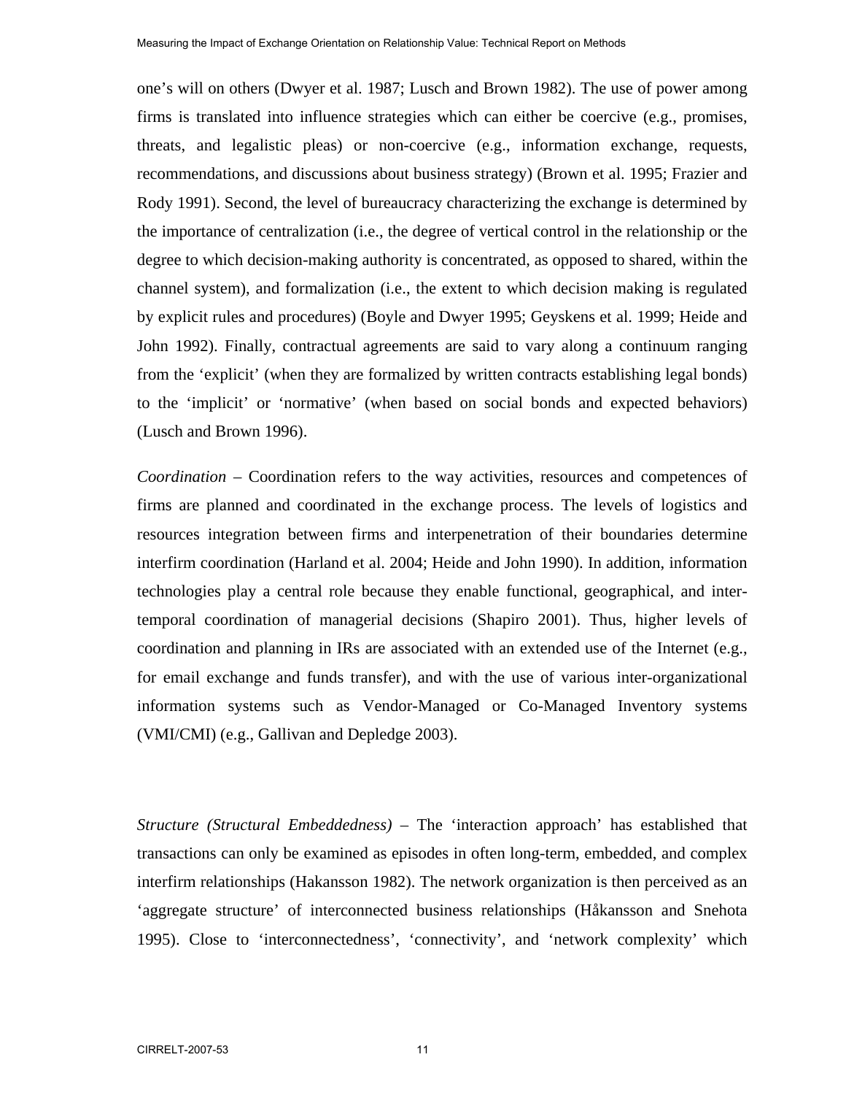one's will on others (Dwyer et al. 1987; Lusch and Brown 1982). The use of power among firms is translated into influence strategies which can either be coercive (e.g., promises, threats, and legalistic pleas) or non-coercive (e.g., information exchange, requests, recommendations, and discussions about business strategy) (Brown et al. 1995; Frazier and Rody 1991). Second, the level of bureaucracy characterizing the exchange is determined by the importance of centralization (i.e., the degree of vertical control in the relationship or the degree to which decision-making authority is concentrated, as opposed to shared, within the channel system), and formalization (i.e., the extent to which decision making is regulated by explicit rules and procedures) (Boyle and Dwyer 1995; Geyskens et al. 1999; Heide and John 1992). Finally, contractual agreements are said to vary along a continuum ranging from the 'explicit' (when they are formalized by written contracts establishing legal bonds) to the 'implicit' or 'normative' (when based on social bonds and expected behaviors) (Lusch and Brown 1996).

*Coordination* – Coordination refers to the way activities, resources and competences of firms are planned and coordinated in the exchange process. The levels of logistics and resources integration between firms and interpenetration of their boundaries determine interfirm coordination (Harland et al. 2004; Heide and John 1990). In addition, information technologies play a central role because they enable functional, geographical, and intertemporal coordination of managerial decisions (Shapiro 2001). Thus, higher levels of coordination and planning in IRs are associated with an extended use of the Internet (e.g., for email exchange and funds transfer), and with the use of various inter-organizational information systems such as Vendor-Managed or Co-Managed Inventory systems (VMI/CMI) (e.g., Gallivan and Depledge 2003).

*Structure (Structural Embeddedness) –* The 'interaction approach' has established that transactions can only be examined as episodes in often long-term, embedded, and complex interfirm relationships (Hakansson 1982). The network organization is then perceived as an 'aggregate structure' of interconnected business relationships (Håkansson and Snehota 1995). Close to 'interconnectedness', 'connectivity', and 'network complexity' which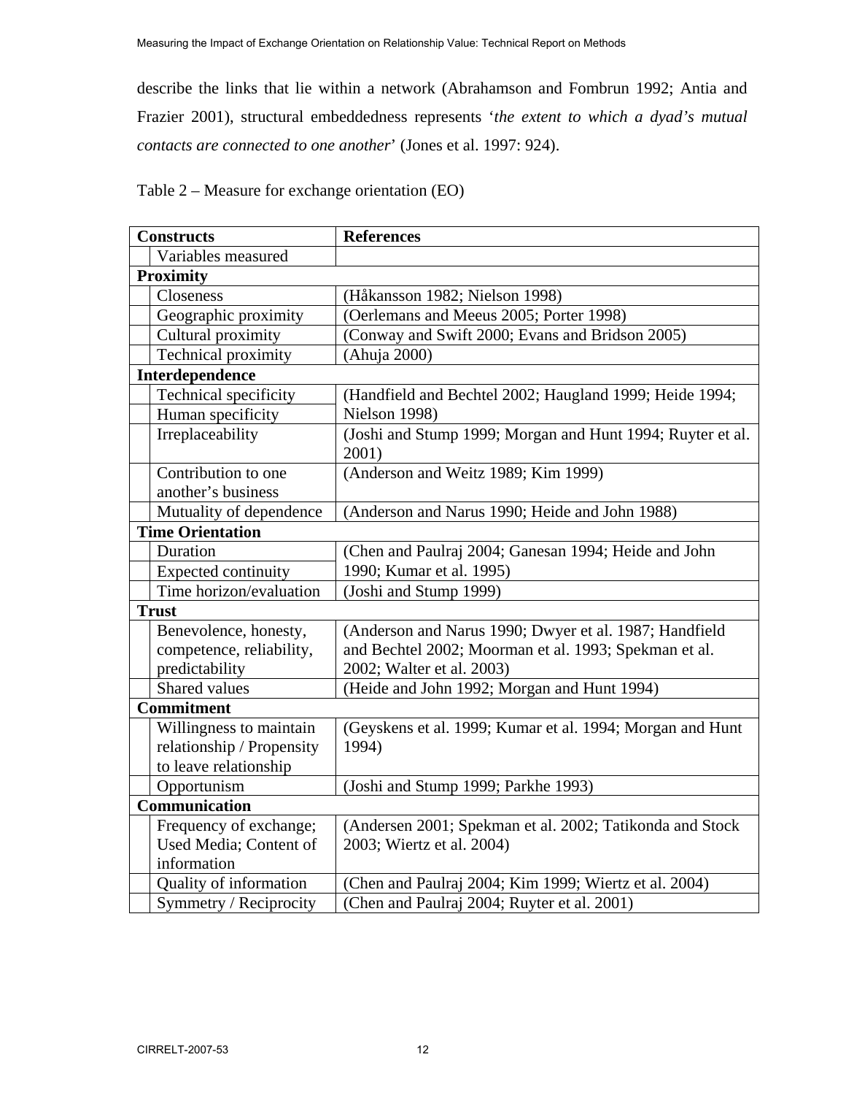describe the links that lie within a network (Abrahamson and Fombrun 1992; Antia and Frazier 2001), structural embeddedness represents '*the extent to which a dyad's mutual contacts are connected to one another*' (Jones et al. 1997: 924).

|  |  | Table $2$ – Measure for exchange orientation (EO) |  |
|--|--|---------------------------------------------------|--|
|  |  |                                                   |  |

| <b>Constructs</b>          | <b>References</b>                                          |
|----------------------------|------------------------------------------------------------|
| Variables measured         |                                                            |
| <b>Proximity</b>           |                                                            |
| Closeness                  | (Håkansson 1982; Nielson 1998)                             |
| Geographic proximity       | (Oerlemans and Meeus 2005; Porter 1998)                    |
| Cultural proximity         | (Conway and Swift 2000; Evans and Bridson 2005)            |
| Technical proximity        | (Ahuja 2000)                                               |
| Interdependence            |                                                            |
| Technical specificity      | (Handfield and Bechtel 2002; Haugland 1999; Heide 1994;    |
| Human specificity          | Nielson 1998)                                              |
| Irreplaceability           | (Joshi and Stump 1999; Morgan and Hunt 1994; Ruyter et al. |
|                            | 2001)                                                      |
| Contribution to one        | (Anderson and Weitz 1989; Kim 1999)                        |
| another's business         |                                                            |
| Mutuality of dependence    | (Anderson and Narus 1990; Heide and John 1988)             |
| <b>Time Orientation</b>    |                                                            |
| Duration                   | (Chen and Paulraj 2004; Ganesan 1994; Heide and John       |
| <b>Expected continuity</b> | 1990; Kumar et al. 1995)                                   |
| Time horizon/evaluation    | (Joshi and Stump 1999)                                     |
| <b>Trust</b>               |                                                            |
| Benevolence, honesty,      | (Anderson and Narus 1990; Dwyer et al. 1987; Handfield     |
| competence, reliability,   | and Bechtel 2002; Moorman et al. 1993; Spekman et al.      |
| predictability             | 2002; Walter et al. 2003)                                  |
| Shared values              | (Heide and John 1992; Morgan and Hunt 1994)                |
| <b>Commitment</b>          |                                                            |
| Willingness to maintain    | (Geyskens et al. 1999; Kumar et al. 1994; Morgan and Hunt  |
| relationship / Propensity  | 1994)                                                      |
| to leave relationship      |                                                            |
| Opportunism                | (Joshi and Stump 1999; Parkhe 1993)                        |
| Communication              |                                                            |
| Frequency of exchange;     | (Andersen 2001; Spekman et al. 2002; Tatikonda and Stock   |
| Used Media; Content of     | 2003; Wiertz et al. 2004)                                  |
| information                |                                                            |
| Quality of information     | (Chen and Paulraj 2004; Kim 1999; Wiertz et al. 2004)      |
| Symmetry / Reciprocity     | (Chen and Paulraj 2004; Ruyter et al. 2001)                |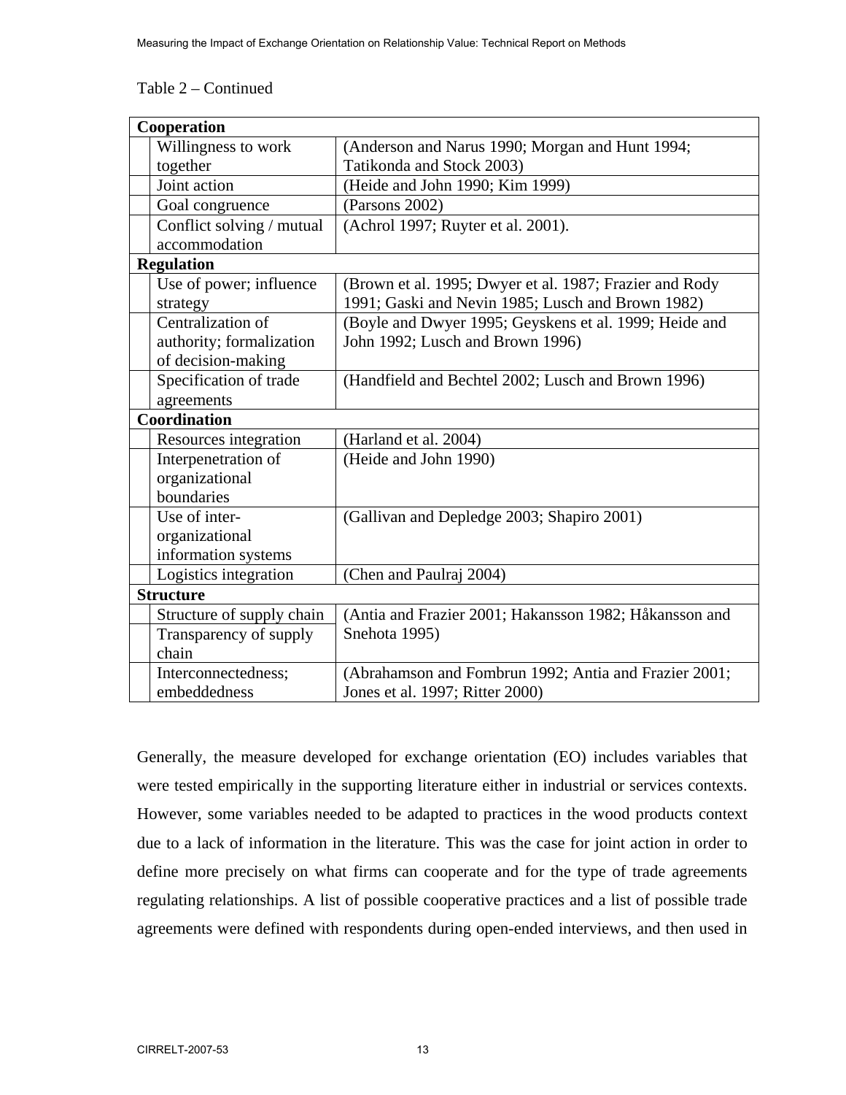#### Table 2 – Continued

| Cooperation                         |                                                                                          |  |
|-------------------------------------|------------------------------------------------------------------------------------------|--|
| Willingness to work                 | (Anderson and Narus 1990; Morgan and Hunt 1994;                                          |  |
| together                            | Tatikonda and Stock 2003)                                                                |  |
| Joint action                        | (Heide and John 1990; Kim 1999)                                                          |  |
| Goal congruence                     | (Parsons 2002)                                                                           |  |
| Conflict solving / mutual           | (Achrol 1997; Ruyter et al. 2001).                                                       |  |
| accommodation                       |                                                                                          |  |
| <b>Regulation</b>                   |                                                                                          |  |
| Use of power; influence             | (Brown et al. 1995; Dwyer et al. 1987; Frazier and Rody                                  |  |
| strategy                            | 1991; Gaski and Nevin 1985; Lusch and Brown 1982)                                        |  |
| Centralization of                   | (Boyle and Dwyer 1995; Geyskens et al. 1999; Heide and                                   |  |
| authority; formalization            | John 1992; Lusch and Brown 1996)                                                         |  |
| of decision-making                  |                                                                                          |  |
| Specification of trade              | (Handfield and Bechtel 2002; Lusch and Brown 1996)                                       |  |
| agreements                          |                                                                                          |  |
| <b>Coordination</b>                 |                                                                                          |  |
| Resources integration               | (Harland et al. 2004)                                                                    |  |
| Interpenetration of                 | (Heide and John 1990)                                                                    |  |
| organizational                      |                                                                                          |  |
| boundaries                          |                                                                                          |  |
| Use of inter-                       | (Gallivan and Depledge 2003; Shapiro 2001)                                               |  |
| organizational                      |                                                                                          |  |
| information systems                 |                                                                                          |  |
| Logistics integration               | (Chen and Paulraj 2004)                                                                  |  |
| <b>Structure</b>                    |                                                                                          |  |
| Structure of supply chain           | (Antia and Frazier 2001; Hakansson 1982; Håkansson and                                   |  |
|                                     |                                                                                          |  |
| Transparency of supply              | Snehota 1995)                                                                            |  |
| chain                               |                                                                                          |  |
| Interconnectedness;<br>embeddedness | (Abrahamson and Fombrun 1992; Antia and Frazier 2001;<br>Jones et al. 1997; Ritter 2000) |  |

Generally, the measure developed for exchange orientation (EO) includes variables that were tested empirically in the supporting literature either in industrial or services contexts. However, some variables needed to be adapted to practices in the wood products context due to a lack of information in the literature. This was the case for joint action in order to define more precisely on what firms can cooperate and for the type of trade agreements regulating relationships. A list of possible cooperative practices and a list of possible trade agreements were defined with respondents during open-ended interviews, and then used in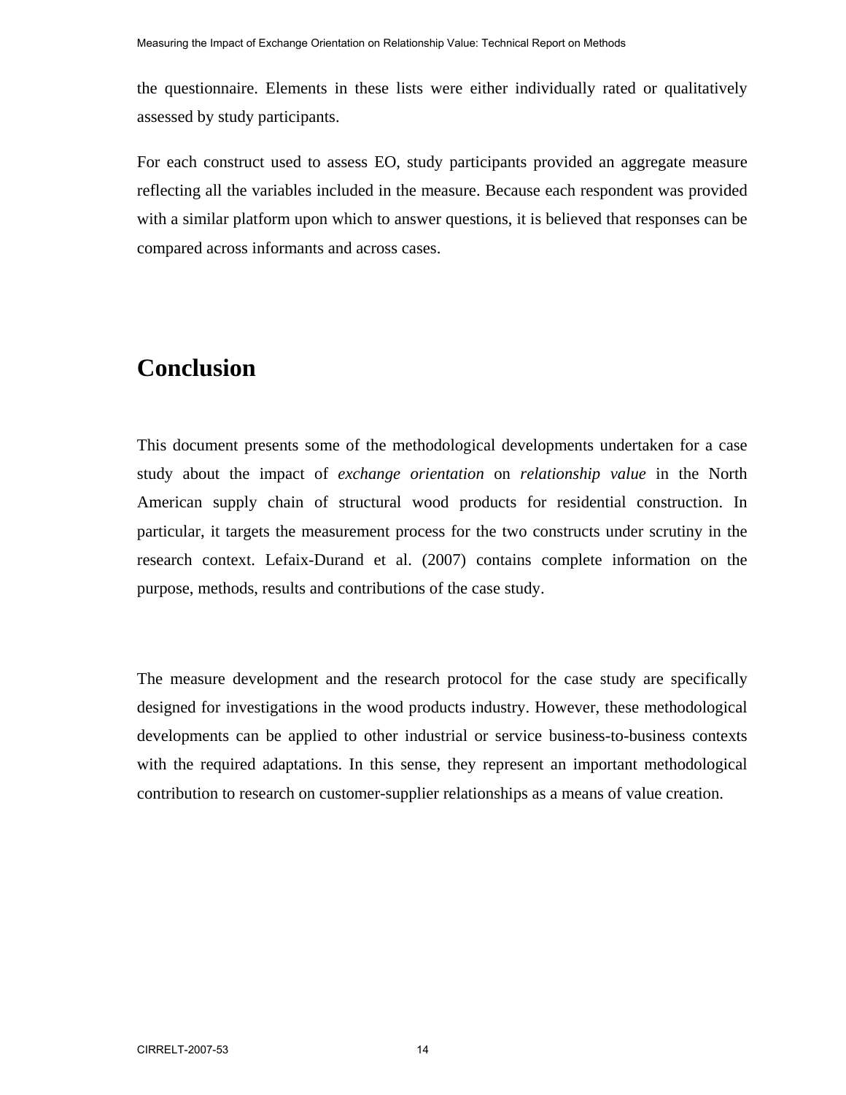the questionnaire. Elements in these lists were either individually rated or qualitatively assessed by study participants.

For each construct used to assess EO, study participants provided an aggregate measure reflecting all the variables included in the measure. Because each respondent was provided with a similar platform upon which to answer questions, it is believed that responses can be compared across informants and across cases.

# **Conclusion**

This document presents some of the methodological developments undertaken for a case study about the impact of *exchange orientation* on *relationship value* in the North American supply chain of structural wood products for residential construction. In particular, it targets the measurement process for the two constructs under scrutiny in the research context. Lefaix-Durand et al. (2007) contains complete information on the purpose, methods, results and contributions of the case study.

The measure development and the research protocol for the case study are specifically designed for investigations in the wood products industry. However, these methodological developments can be applied to other industrial or service business-to-business contexts with the required adaptations. In this sense, they represent an important methodological contribution to research on customer-supplier relationships as a means of value creation.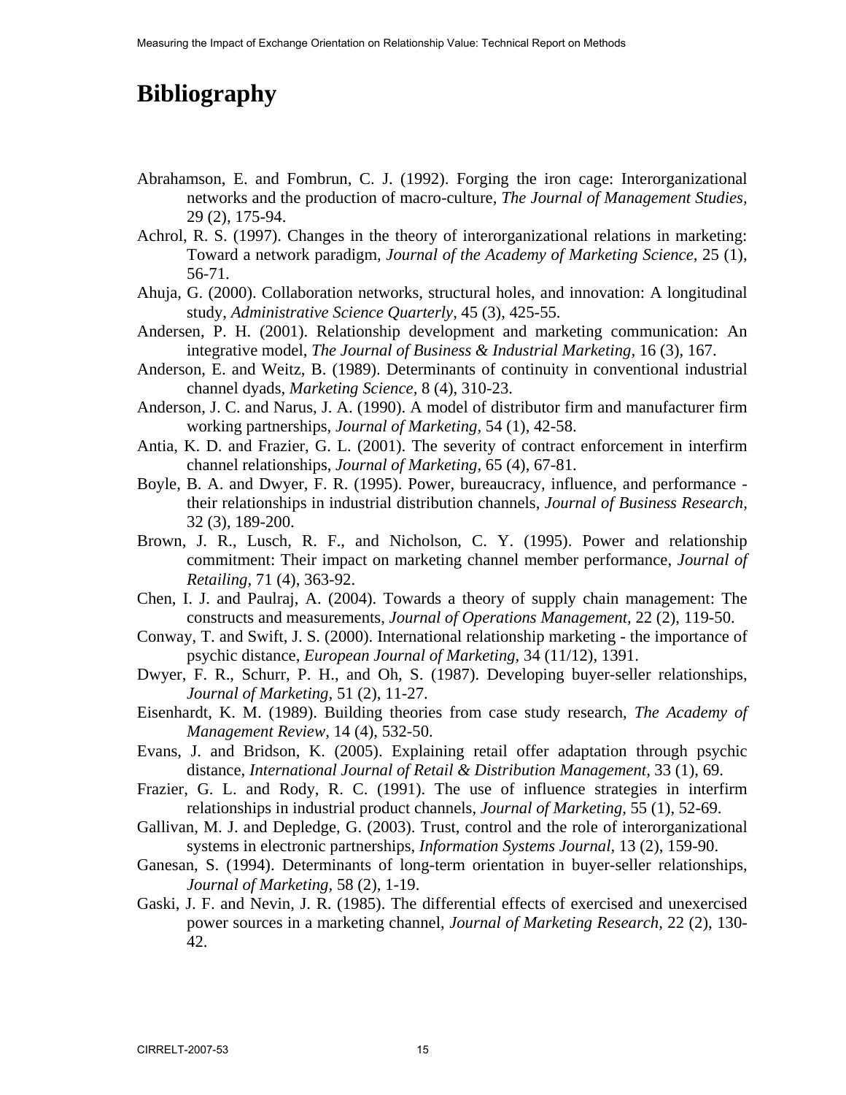# **Bibliography**

- Abrahamson, E. and Fombrun, C. J. (1992). Forging the iron cage: Interorganizational networks and the production of macro-culture, *The Journal of Management Studies,* 29 (2), 175-94.
- Achrol, R. S. (1997). Changes in the theory of interorganizational relations in marketing: Toward a network paradigm, *Journal of the Academy of Marketing Science,* 25 (1), 56-71.
- Ahuja, G. (2000). Collaboration networks, structural holes, and innovation: A longitudinal study, *Administrative Science Quarterly,* 45 (3), 425-55.
- Andersen, P. H. (2001). Relationship development and marketing communication: An integrative model, *The Journal of Business & Industrial Marketing,* 16 (3), 167.
- Anderson, E. and Weitz, B. (1989). Determinants of continuity in conventional industrial channel dyads, *Marketing Science,* 8 (4), 310-23.
- Anderson, J. C. and Narus, J. A. (1990). A model of distributor firm and manufacturer firm working partnerships, *Journal of Marketing,* 54 (1), 42-58.
- Antia, K. D. and Frazier, G. L. (2001). The severity of contract enforcement in interfirm channel relationships, *Journal of Marketing,* 65 (4), 67-81.
- Boyle, B. A. and Dwyer, F. R. (1995). Power, bureaucracy, influence, and performance their relationships in industrial distribution channels, *Journal of Business Research,* 32 (3), 189-200.
- Brown, J. R., Lusch, R. F., and Nicholson, C. Y. (1995). Power and relationship commitment: Their impact on marketing channel member performance, *Journal of Retailing,* 71 (4), 363-92.
- Chen, I. J. and Paulraj, A. (2004). Towards a theory of supply chain management: The constructs and measurements, *Journal of Operations Management,* 22 (2), 119-50.
- Conway, T. and Swift, J. S. (2000). International relationship marketing the importance of psychic distance, *European Journal of Marketing,* 34 (11/12), 1391.
- Dwyer, F. R., Schurr, P. H., and Oh, S. (1987). Developing buyer-seller relationships, *Journal of Marketing,* 51 (2), 11-27.
- Eisenhardt, K. M. (1989). Building theories from case study research, *The Academy of Management Review,* 14 (4), 532-50.
- Evans, J. and Bridson, K. (2005). Explaining retail offer adaptation through psychic distance, *International Journal of Retail & Distribution Management,* 33 (1), 69.
- Frazier, G. L. and Rody, R. C. (1991). The use of influence strategies in interfirm relationships in industrial product channels, *Journal of Marketing,* 55 (1), 52-69.
- Gallivan, M. J. and Depledge, G. (2003). Trust, control and the role of interorganizational systems in electronic partnerships, *Information Systems Journal,* 13 (2), 159-90.
- Ganesan, S. (1994). Determinants of long-term orientation in buyer-seller relationships, *Journal of Marketing,* 58 (2), 1-19.
- Gaski, J. F. and Nevin, J. R. (1985). The differential effects of exercised and unexercised power sources in a marketing channel, *Journal of Marketing Research,* 22 (2), 130- 42.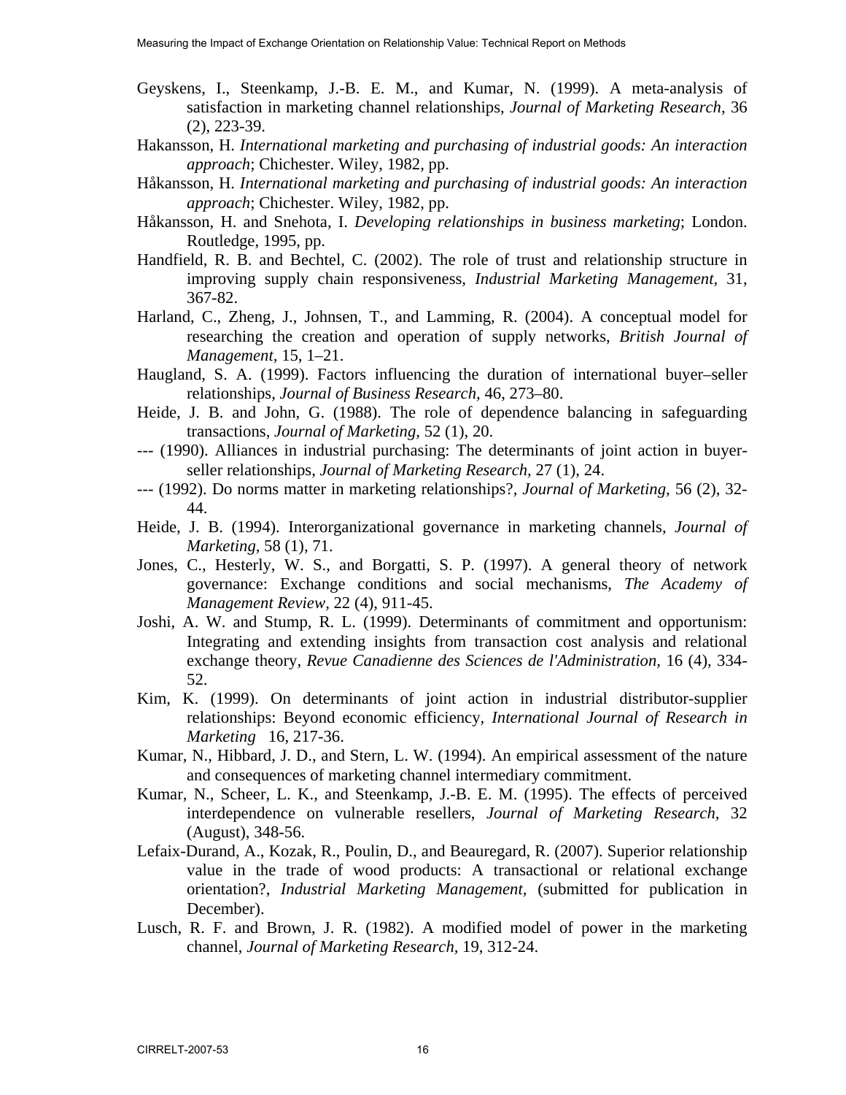- Geyskens, I., Steenkamp, J.-B. E. M., and Kumar, N. (1999). A meta-analysis of satisfaction in marketing channel relationships, *Journal of Marketing Research,* 36 (2), 223-39.
- Hakansson, H. *International marketing and purchasing of industrial goods: An interaction approach*; Chichester. Wiley, 1982, pp.
- Håkansson, H. *International marketing and purchasing of industrial goods: An interaction approach*; Chichester. Wiley, 1982, pp.
- Håkansson, H. and Snehota, I. *Developing relationships in business marketing*; London. Routledge, 1995, pp.
- Handfield, R. B. and Bechtel, C. (2002). The role of trust and relationship structure in improving supply chain responsiveness, *Industrial Marketing Management,* 31, 367-82.
- Harland, C., Zheng, J., Johnsen, T., and Lamming, R. (2004). A conceptual model for researching the creation and operation of supply networks, *British Journal of Management,* 15, 1–21.
- Haugland, S. A. (1999). Factors influencing the duration of international buyer–seller relationships, *Journal of Business Research,* 46, 273–80.
- Heide, J. B. and John, G. (1988). The role of dependence balancing in safeguarding transactions, *Journal of Marketing,* 52 (1), 20.
- --- (1990). Alliances in industrial purchasing: The determinants of joint action in buyerseller relationships, *Journal of Marketing Research,* 27 (1), 24.
- --- (1992). Do norms matter in marketing relationships?, *Journal of Marketing,* 56 (2), 32- 44.
- Heide, J. B. (1994). Interorganizational governance in marketing channels, *Journal of Marketing,* 58 (1), 71.
- Jones, C., Hesterly, W. S., and Borgatti, S. P. (1997). A general theory of network governance: Exchange conditions and social mechanisms, *The Academy of Management Review,* 22 (4), 911-45.
- Joshi, A. W. and Stump, R. L. (1999). Determinants of commitment and opportunism: Integrating and extending insights from transaction cost analysis and relational exchange theory, *Revue Canadienne des Sciences de l'Administration,* 16 (4), 334- 52.
- Kim, K. (1999). On determinants of joint action in industrial distributor-supplier relationships: Beyond economic efficiency, *International Journal of Research in Marketing* 16, 217-36.
- Kumar, N., Hibbard, J. D., and Stern, L. W. (1994). An empirical assessment of the nature and consequences of marketing channel intermediary commitment.
- Kumar, N., Scheer, L. K., and Steenkamp, J.-B. E. M. (1995). The effects of perceived interdependence on vulnerable resellers, *Journal of Marketing Research,* 32 (August), 348-56.
- Lefaix-Durand, A., Kozak, R., Poulin, D., and Beauregard, R. (2007). Superior relationship value in the trade of wood products: A transactional or relational exchange orientation?, *Industrial Marketing Management,* (submitted for publication in December).
- Lusch, R. F. and Brown, J. R. (1982). A modified model of power in the marketing channel, *Journal of Marketing Research,* 19, 312-24.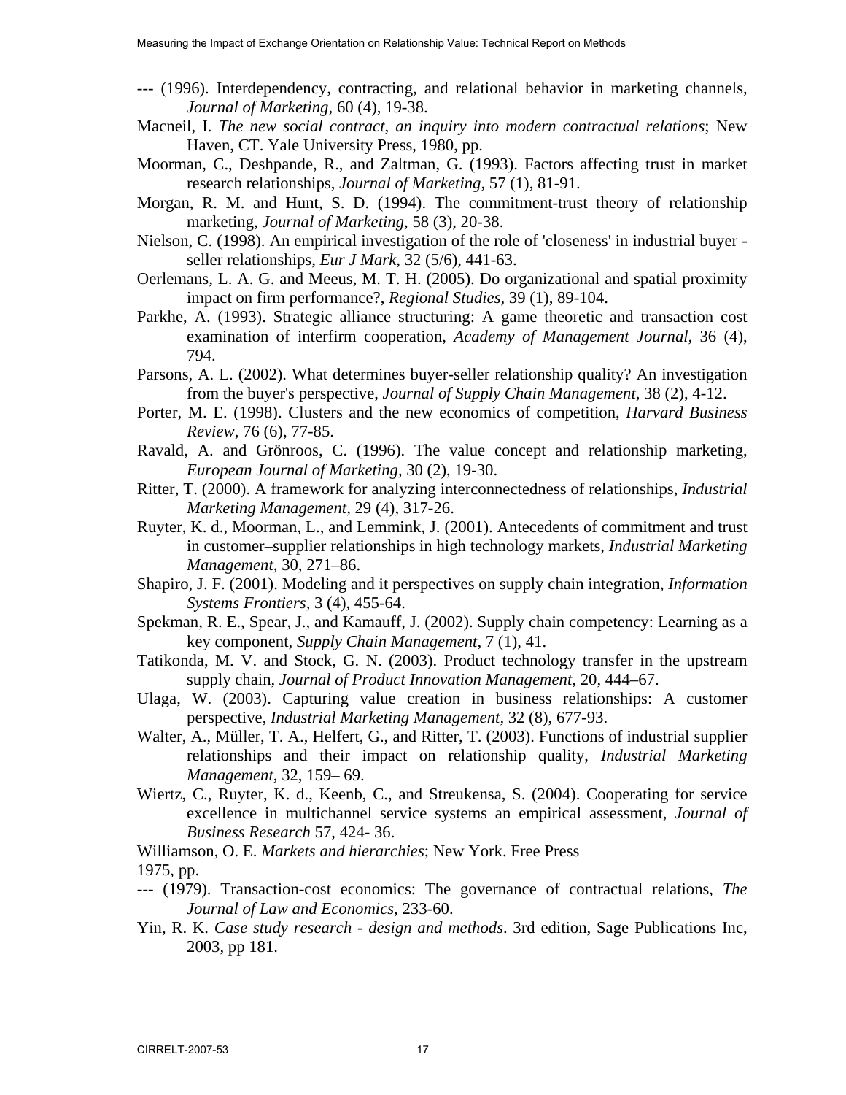- --- (1996). Interdependency, contracting, and relational behavior in marketing channels, *Journal of Marketing,* 60 (4), 19-38.
- Macneil, I. *The new social contract, an inquiry into modern contractual relations*; New Haven, CT. Yale University Press, 1980, pp.
- Moorman, C., Deshpande, R., and Zaltman, G. (1993). Factors affecting trust in market research relationships, *Journal of Marketing,* 57 (1), 81-91.
- Morgan, R. M. and Hunt, S. D. (1994). The commitment-trust theory of relationship marketing, *Journal of Marketing,* 58 (3), 20-38.
- Nielson, C. (1998). An empirical investigation of the role of 'closeness' in industrial buyer seller relationships, *Eur J Mark,* 32 (5/6), 441-63.
- Oerlemans, L. A. G. and Meeus, M. T. H. (2005). Do organizational and spatial proximity impact on firm performance?, *Regional Studies,* 39 (1), 89-104.
- Parkhe, A. (1993). Strategic alliance structuring: A game theoretic and transaction cost examination of interfirm cooperation, *Academy of Management Journal,* 36 (4), 794.
- Parsons, A. L. (2002). What determines buyer-seller relationship quality? An investigation from the buyer's perspective, *Journal of Supply Chain Management,* 38 (2), 4-12.
- Porter, M. E. (1998). Clusters and the new economics of competition, *Harvard Business Review,* 76 (6), 77-85.
- Ravald, A. and Grönroos, C. (1996). The value concept and relationship marketing, *European Journal of Marketing,* 30 (2), 19-30.
- Ritter, T. (2000). A framework for analyzing interconnectedness of relationships, *Industrial Marketing Management,* 29 (4), 317-26.
- Ruyter, K. d., Moorman, L., and Lemmink, J. (2001). Antecedents of commitment and trust in customer–supplier relationships in high technology markets, *Industrial Marketing Management,* 30, 271–86.
- Shapiro, J. F. (2001). Modeling and it perspectives on supply chain integration, *Information Systems Frontiers,* 3 (4), 455-64.
- Spekman, R. E., Spear, J., and Kamauff, J. (2002). Supply chain competency: Learning as a key component, *Supply Chain Management,* 7 (1), 41.
- Tatikonda, M. V. and Stock, G. N. (2003). Product technology transfer in the upstream supply chain, *Journal of Product Innovation Management,* 20, 444–67.
- Ulaga, W. (2003). Capturing value creation in business relationships: A customer perspective, *Industrial Marketing Management,* 32 (8), 677-93.
- Walter, A., Müller, T. A., Helfert, G., and Ritter, T. (2003). Functions of industrial supplier relationships and their impact on relationship quality, *Industrial Marketing Management,* 32, 159– 69.
- Wiertz, C., Ruyter, K. d., Keenb, C., and Streukensa, S. (2004). Cooperating for service excellence in multichannel service systems an empirical assessment, *Journal of Business Research* 57, 424- 36.

Williamson, O. E. *Markets and hierarchies*; New York. Free Press 1975, pp.

- --- (1979). Transaction-cost economics: The governance of contractual relations, *The Journal of Law and Economics*, 233-60.
- Yin, R. K. *Case study research design and methods*. 3rd edition, Sage Publications Inc, 2003, pp 181.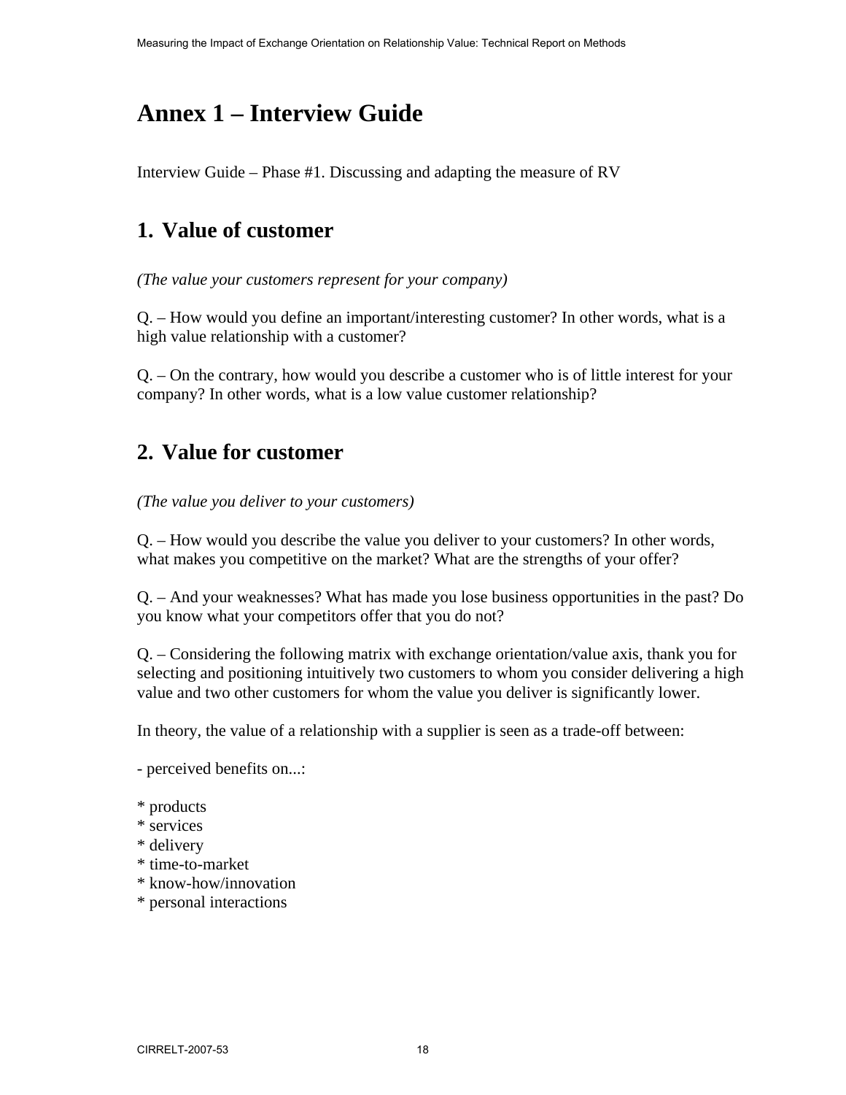# **Annex 1 – Interview Guide**

Interview Guide – Phase #1. Discussing and adapting the measure of RV

## **1. Value of customer**

*(The value your customers represent for your company)* 

Q. – How would you define an important/interesting customer? In other words, what is a high value relationship with a customer?

Q. – On the contrary, how would you describe a customer who is of little interest for your company? In other words, what is a low value customer relationship?

## **2. Value for customer**

*(The value you deliver to your customers)* 

Q. – How would you describe the value you deliver to your customers? In other words, what makes you competitive on the market? What are the strengths of your offer?

Q. – And your weaknesses? What has made you lose business opportunities in the past? Do you know what your competitors offer that you do not?

Q. – Considering the following matrix with exchange orientation/value axis, thank you for selecting and positioning intuitively two customers to whom you consider delivering a high value and two other customers for whom the value you deliver is significantly lower.

In theory, the value of a relationship with a supplier is seen as a trade-off between:

- perceived benefits on...:

- \* products
- \* services
- \* delivery
- \* time-to-market
- \* know-how/innovation
- \* personal interactions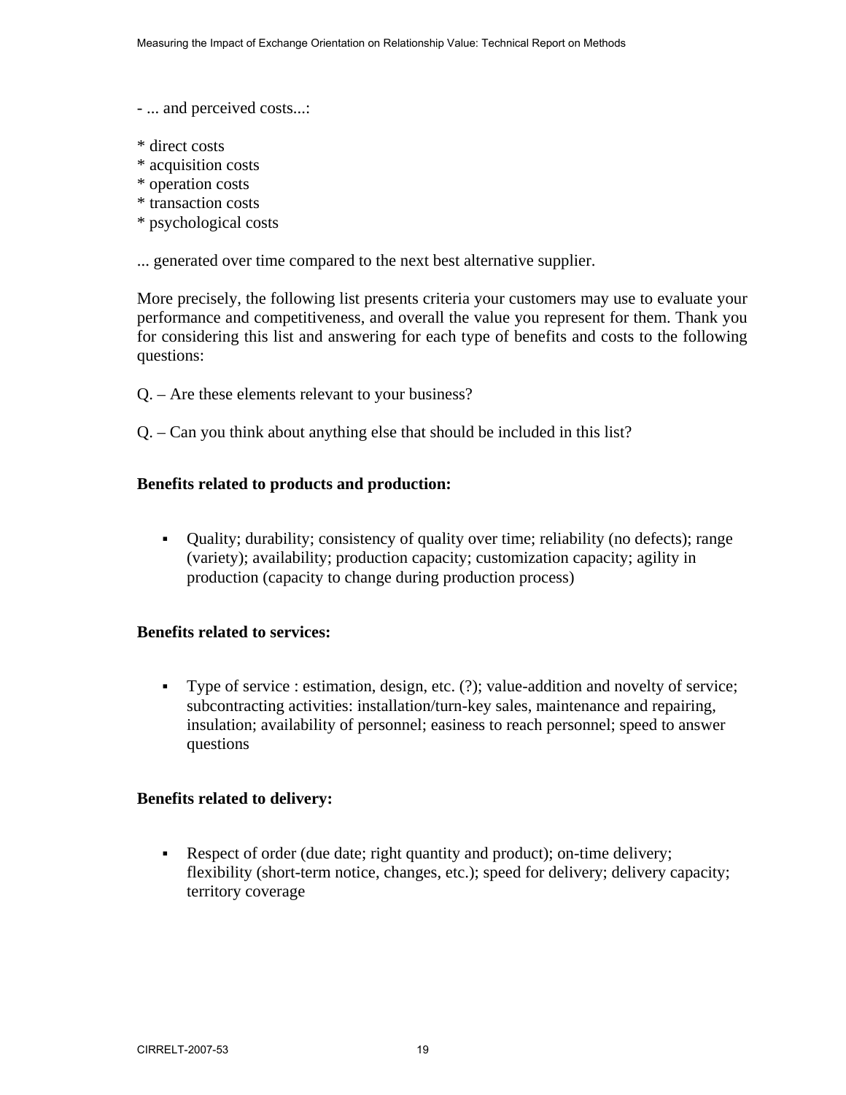- ... and perceived costs...:

- \* direct costs
- \* acquisition costs
- \* operation costs
- \* transaction costs
- \* psychological costs

... generated over time compared to the next best alternative supplier.

More precisely, the following list presents criteria your customers may use to evaluate your performance and competitiveness, and overall the value you represent for them. Thank you for considering this list and answering for each type of benefits and costs to the following questions:

- Q. Are these elements relevant to your business?
- Q. Can you think about anything else that should be included in this list?

#### **Benefits related to products and production:**

 Quality; durability; consistency of quality over time; reliability (no defects); range (variety); availability; production capacity; customization capacity; agility in production (capacity to change during production process)

#### **Benefits related to services:**

 Type of service : estimation, design, etc. (?); value-addition and novelty of service; subcontracting activities: installation/turn-key sales, maintenance and repairing, insulation; availability of personnel; easiness to reach personnel; speed to answer questions

#### **Benefits related to delivery:**

Respect of order (due date; right quantity and product); on-time delivery; flexibility (short-term notice, changes, etc.); speed for delivery; delivery capacity; territory coverage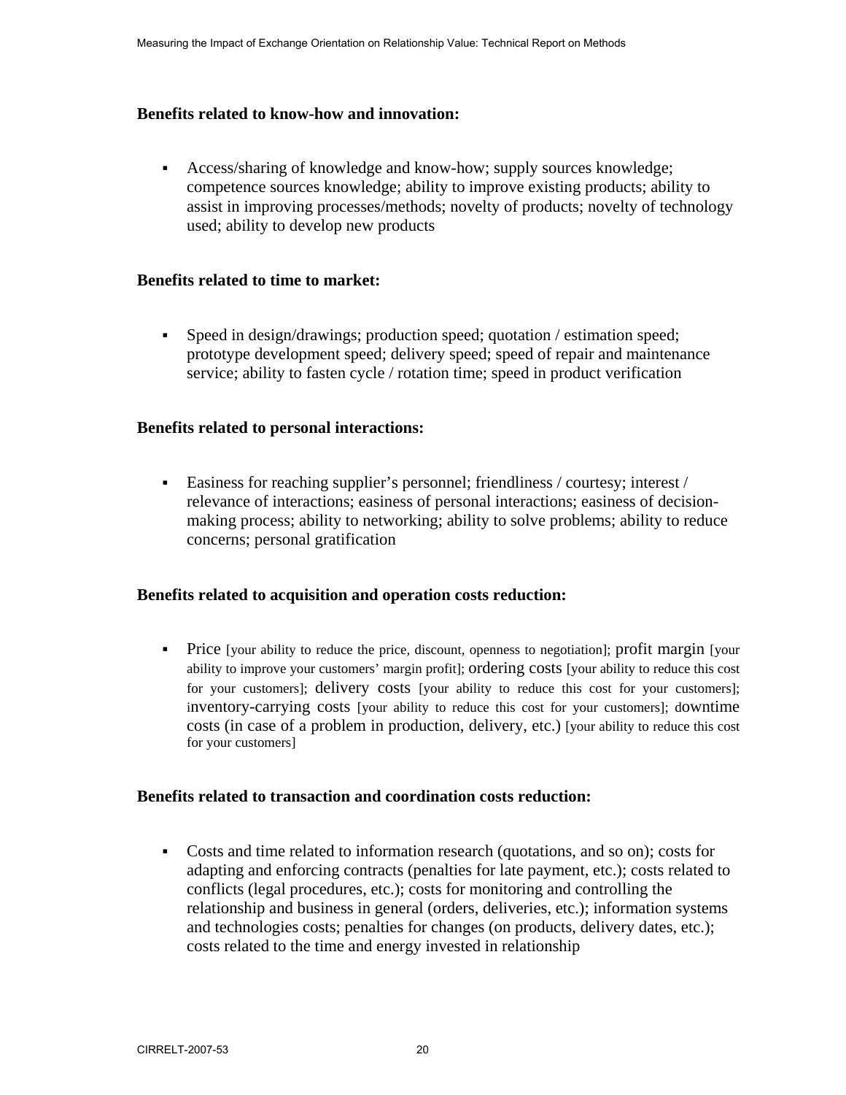#### **Benefits related to know-how and innovation:**

 Access/sharing of knowledge and know-how; supply sources knowledge; competence sources knowledge; ability to improve existing products; ability to assist in improving processes/methods; novelty of products; novelty of technology used; ability to develop new products

#### **Benefits related to time to market:**

 Speed in design/drawings; production speed; quotation / estimation speed; prototype development speed; delivery speed; speed of repair and maintenance service; ability to fasten cycle / rotation time; speed in product verification

#### **Benefits related to personal interactions:**

 Easiness for reaching supplier's personnel; friendliness / courtesy; interest / relevance of interactions; easiness of personal interactions; easiness of decisionmaking process; ability to networking; ability to solve problems; ability to reduce concerns; personal gratification

#### **Benefits related to acquisition and operation costs reduction:**

 Price [your ability to reduce the price, discount, openness to negotiation]; profit margin [your ability to improve your customers' margin profit]; ordering costs [your ability to reduce this cost for your customers]; delivery costs [your ability to reduce this cost for your customers]; inventory-carrying costs [your ability to reduce this cost for your customers]; downtime costs (in case of a problem in production, delivery, etc.) [your ability to reduce this cost for your customers]

#### **Benefits related to transaction and coordination costs reduction:**

 Costs and time related to information research (quotations, and so on); costs for adapting and enforcing contracts (penalties for late payment, etc.); costs related to conflicts (legal procedures, etc.); costs for monitoring and controlling the relationship and business in general (orders, deliveries, etc.); information systems and technologies costs; penalties for changes (on products, delivery dates, etc.); costs related to the time and energy invested in relationship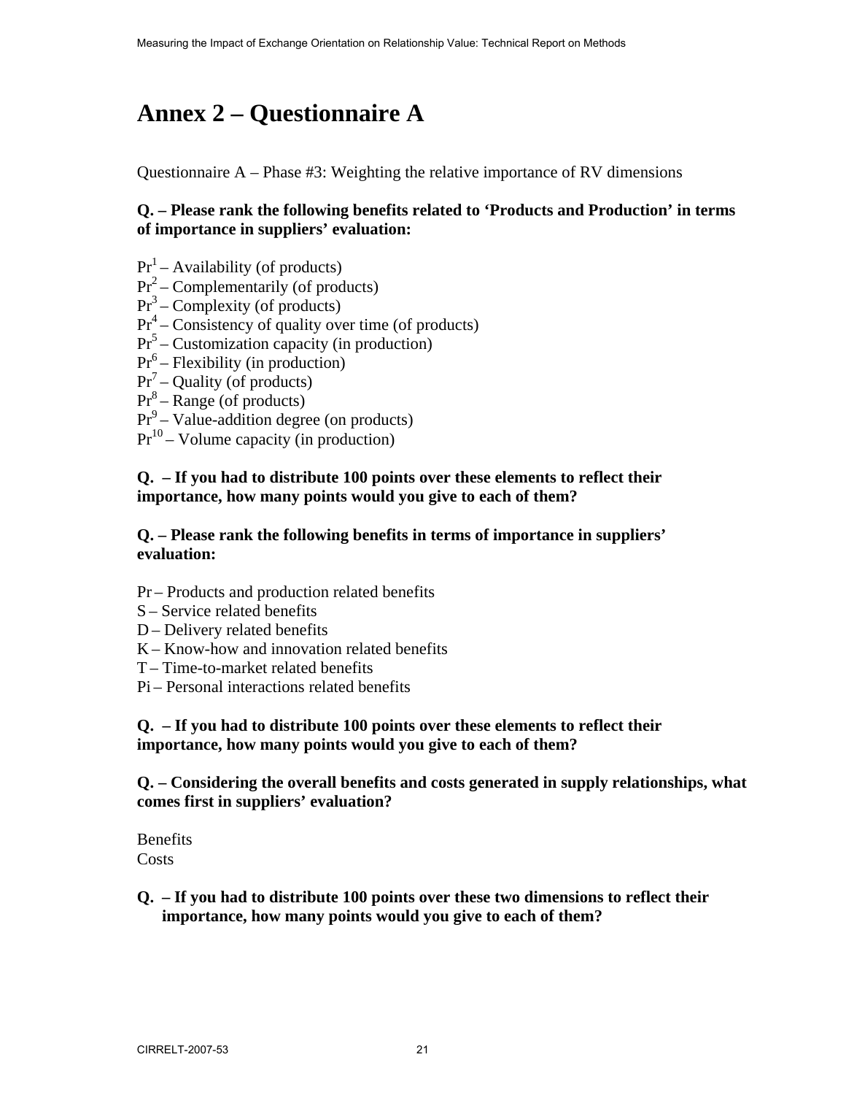# **Annex 2 – Questionnaire A**

Questionnaire  $A$  – Phase #3: Weighting the relative importance of RV dimensions

#### **Q. – Please rank the following benefits related to 'Products and Production' in terms of importance in suppliers' evaluation:**

- $Pr<sup>1</sup>$  Availability (of products)
- $Pr<sup>2</sup>$  Complementarily (of products)
- $Pr<sup>3</sup>$  Complexity (of products)
- $Pr<sup>4</sup>$  Consistency of quality over time (of products)
- $Pr<sup>5</sup>$  Customization capacity (in production)
- $Pr<sup>6</sup>$  Flexibility (in production)
- $Pr<sup>7</sup>$  Quality (of products)
- $Pr<sup>8</sup>$  Range (of products)
- $Pr<sup>9</sup>$  Value-addition degree (on products)
- $Pr<sup>10</sup>$  Volume capacity (in production)

#### **Q. – If you had to distribute 100 points over these elements to reflect their importance, how many points would you give to each of them?**

#### **Q. – Please rank the following benefits in terms of importance in suppliers' evaluation:**

- Pr Products and production related benefits
- S Service related benefits
- D Delivery related benefits
- K Know-how and innovation related benefits
- T Time-to-market related benefits
- Pi Personal interactions related benefits

**Q. – If you had to distribute 100 points over these elements to reflect their importance, how many points would you give to each of them?**

**Q. – Considering the overall benefits and costs generated in supply relationships, what comes first in suppliers' evaluation?** 

**Benefits** Costs

**Q. – If you had to distribute 100 points over these two dimensions to reflect their importance, how many points would you give to each of them?**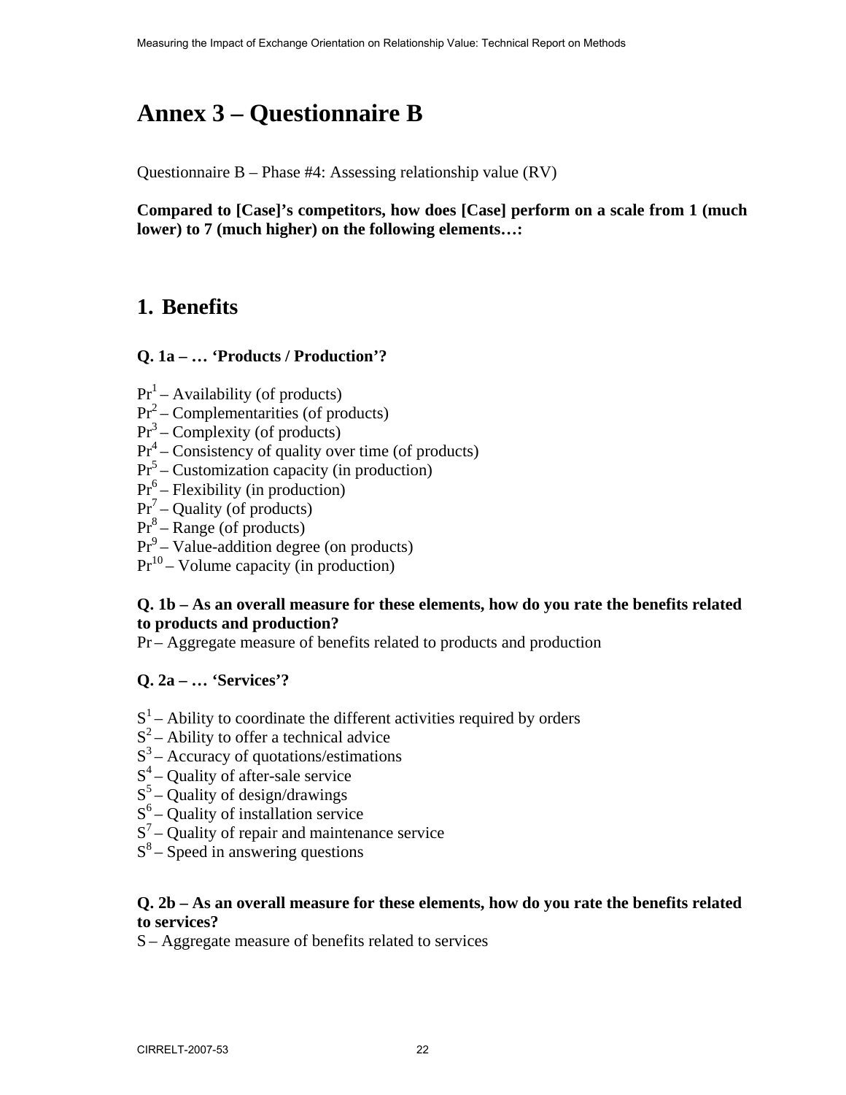# **Annex 3 – Questionnaire B**

Questionnaire B – Phase #4: Assessing relationship value (RV)

**Compared to [Case]'s competitors, how does [Case] perform on a scale from 1 (much lower) to 7 (much higher) on the following elements…:** 

## **1. Benefits**

#### **Q. 1a – … 'Products / Production'?**

- $Pr<sup>1</sup>$  Availability (of products)
- $Pr<sup>2</sup>$  Complementarities (of products)
- $Pr<sup>3</sup>$  Complexity (of products)
- $Pr<sup>4</sup>$  Consistency of quality over time (of products)
- $Pr<sup>5</sup>$  Customization capacity (in production)
- $Pr<sup>6</sup>$  Flexibility (in production)
- $Pr<sup>7</sup>$  Quality (of products)
- $Pr<sup>8</sup>$  Range (of products)
- $Pr<sup>9</sup>$  Value-addition degree (on products)
- $Pr<sup>10</sup>$  Volume capacity (in production)

#### **Q. 1b – As an overall measure for these elements, how do you rate the benefits related to products and production?**

Pr – Aggregate measure of benefits related to products and production

#### **Q. 2a – … 'Services'?**

- $S<sup>1</sup>$  Ability to coordinate the different activities required by orders
- $S^2$  Ability to offer a technical advice
- $S<sup>3</sup>$  Accuracy of quotations/estimations
- $S^4$  Quality of after-sale service
- $S<sup>5</sup>$  Quality of design/drawings
- $S<sup>6</sup>$  Quality of installation service
- $S<sup>7</sup>$  Quality of repair and maintenance service
- $S^8$  Speed in answering questions

#### **Q. 2b – As an overall measure for these elements, how do you rate the benefits related to services?**

S – Aggregate measure of benefits related to services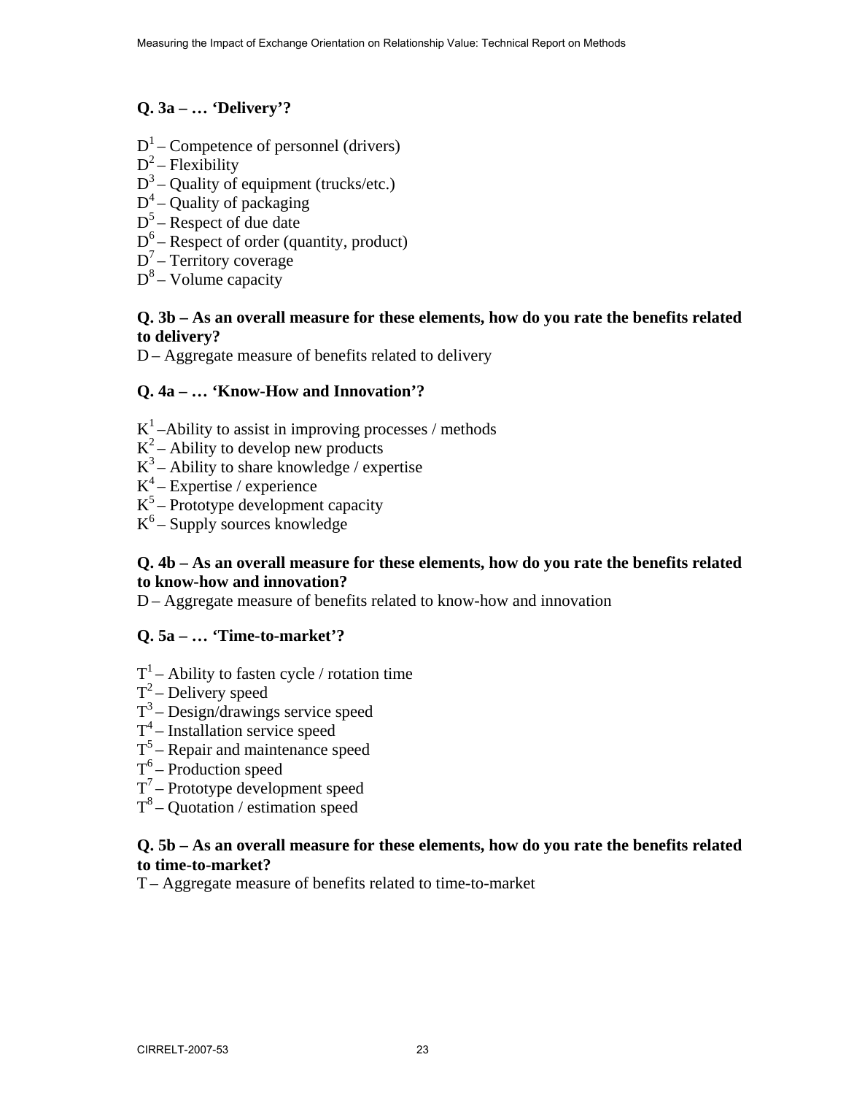#### **Q. 3a – … 'Delivery'?**

- $D^1$  Competence of personnel (drivers)
- $D^2$  Flexibility
- $D^3$  Quality of equipment (trucks/etc.)
- $D^4$  Quality of packaging
- $D^5$  Respect of due date
- $D^6$  Respect of order (quantity, product)
- $D^7$  Territory coverage
- $D^8$  Volume capacity

#### **Q. 3b – As an overall measure for these elements, how do you rate the benefits related to delivery?**

D – Aggregate measure of benefits related to delivery

#### **Q. 4a – … 'Know-How and Innovation'?**

- $K^1$ –Ability to assist in improving processes / methods
- $K^2$  Ability to develop new products
- $K^3$  Ability to share knowledge / expertise
- $K^4$  Expertise / experience
- $K^5$  Prototype development capacity
- $K^6$  Supply sources knowledge

#### **Q. 4b – As an overall measure for these elements, how do you rate the benefits related to know-how and innovation?**

D – Aggregate measure of benefits related to know-how and innovation

#### **Q. 5a – … 'Time-to-market'?**

- $T^1$  Ability to fasten cycle / rotation time
- $T^2$  Delivery speed
- $T^3$  Design/drawings service speed
- $T^4$  Installation service speed
- $T<sup>5</sup>$  Repair and maintenance speed
- $T^6$  Production speed
- $T^7$  Prototype development speed
- $T^8$  Quotation / estimation speed

#### **Q. 5b – As an overall measure for these elements, how do you rate the benefits related to time-to-market?**

T – Aggregate measure of benefits related to time-to-market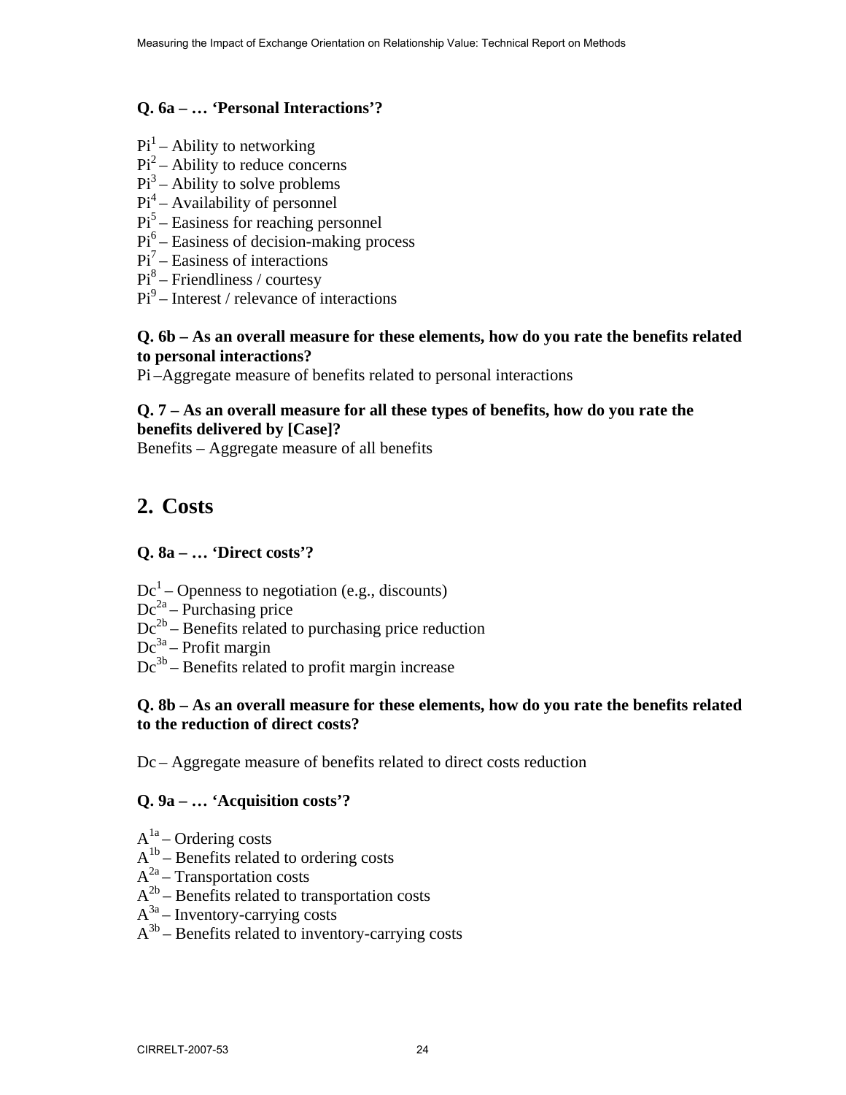#### **Q. 6a – … 'Personal Interactions'?**

- $Pi^{-1}$  Ability to networking
- $Pi<sup>2</sup>$  Ability to reduce concerns
- $Pi<sup>3</sup>$  Ability to solve problems
- $Pi<sup>4</sup>$  Availability of personnel
- $Pi<sup>5</sup>$  Easiness for reaching personnel
- $Pi<sup>6</sup>$  Easiness of decision-making process
- $Pi<sup>7</sup>$  Easiness of interactions
- Pi<sup>8</sup> Friendliness / courtesy
- $Pi<sup>9</sup>$  Interest / relevance of interactions

#### **Q. 6b – As an overall measure for these elements, how do you rate the benefits related to personal interactions?**

Pi –Aggregate measure of benefits related to personal interactions

#### **Q. 7 – As an overall measure for all these types of benefits, how do you rate the benefits delivered by [Case]?**

Benefits – Aggregate measure of all benefits

### **2. Costs**

#### **Q. 8a – … 'Direct costs'?**

- $Dc<sup>1</sup>$  Openness to negotiation (e.g., discounts)
- $Dc^{2a}$  Purchasing price
- $Dc^{2b}$  Benefits related to purchasing price reduction
- $Dc^{3a}$  Profit margin
- $Dc<sup>3b</sup>$  Benefits related to profit margin increase

#### **Q. 8b – As an overall measure for these elements, how do you rate the benefits related to the reduction of direct costs?**

Dc – Aggregate measure of benefits related to direct costs reduction

#### **Q. 9a – … 'Acquisition costs'?**

- $A<sup>1a</sup>$  Ordering costs
- $A<sup>1b</sup>$  Benefits related to ordering costs
- $A^{2a}$  Transportation costs
- $A^{2b}$  Benefits related to transportation costs
- $A^{3a}$  Inventory-carrying costs
- $A^{3b}$  Benefits related to inventory-carrying costs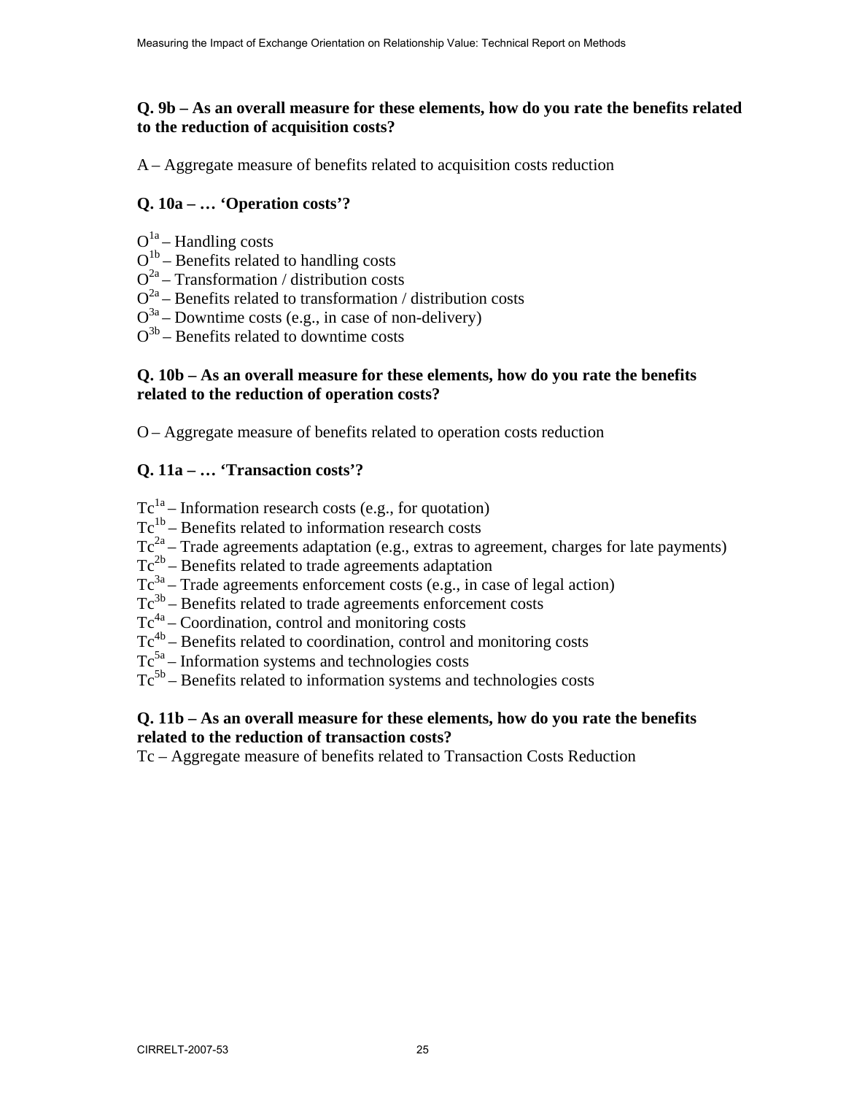#### **Q. 9b – As an overall measure for these elements, how do you rate the benefits related to the reduction of acquisition costs?**

A – Aggregate measure of benefits related to acquisition costs reduction

#### **Q. 10a – … 'Operation costs'?**

- $Q^{1a}$  Handling costs
- $Q^{1b}$  Benefits related to handling costs
- $Q^{2a}$  Transformation / distribution costs
- $Q^{2a}$  Benefits related to transformation / distribution costs
- $Q^{3a}$  Downtime costs (e.g., in case of non-delivery)
- $Q^{3b}$  Benefits related to downtime costs

#### **Q. 10b – As an overall measure for these elements, how do you rate the benefits related to the reduction of operation costs?**

O – Aggregate measure of benefits related to operation costs reduction

#### **Q. 11a – … 'Transaction costs'?**

- $Tc^{1a}$  Information research costs (e.g., for quotation)
- $Tc^{1b}$  Benefits related to information research costs
- $Tc^{2a}$  Trade agreements adaptation (e.g., extras to agreement, charges for late payments)
- $Tc^{2b}$  Benefits related to trade agreements adaptation
- $Tc^{3a}$  Trade agreements enforcement costs (e.g., in case of legal action)
- $Tc^{3b}$  Benefits related to trade agreements enforcement costs
- $Tc^{4a}$  Coordination, control and monitoring costs
- $Tc^{4b}$  Benefits related to coordination, control and monitoring costs
- $Tc^{5a}$  Information systems and technologies costs
- $Tc<sup>5b</sup>$  Benefits related to information systems and technologies costs

#### **Q. 11b – As an overall measure for these elements, how do you rate the benefits related to the reduction of transaction costs?**

Tc – Aggregate measure of benefits related to Transaction Costs Reduction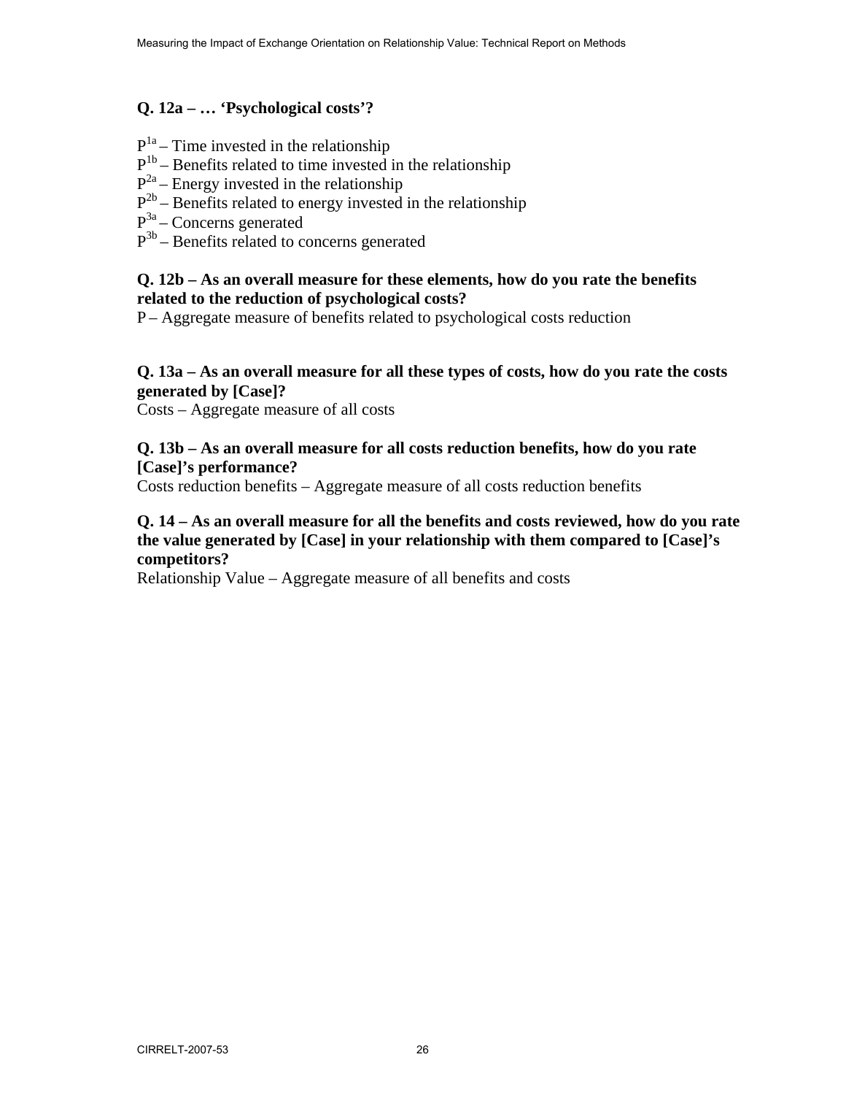#### **Q. 12a – … 'Psychological costs'?**

- $P<sup>1a</sup>$  Time invested in the relationship
- $P^{1b}$  Benefits related to time invested in the relationship
- $P^{2a}$  Energy invested in the relationship
- $P^{2b}$  Benefits related to energy invested in the relationship
- P3a Concerns generated
- $P^{3b}$  Benefits related to concerns generated

#### **Q. 12b – As an overall measure for these elements, how do you rate the benefits related to the reduction of psychological costs?**

P – Aggregate measure of benefits related to psychological costs reduction

#### **Q. 13a – As an overall measure for all these types of costs, how do you rate the costs generated by [Case]?**

Costs – Aggregate measure of all costs

#### **Q. 13b – As an overall measure for all costs reduction benefits, how do you rate [Case]'s performance?**

Costs reduction benefits – Aggregate measure of all costs reduction benefits

#### **Q. 14 – As an overall measure for all the benefits and costs reviewed, how do you rate the value generated by [Case] in your relationship with them compared to [Case]'s competitors?**

Relationship Value – Aggregate measure of all benefits and costs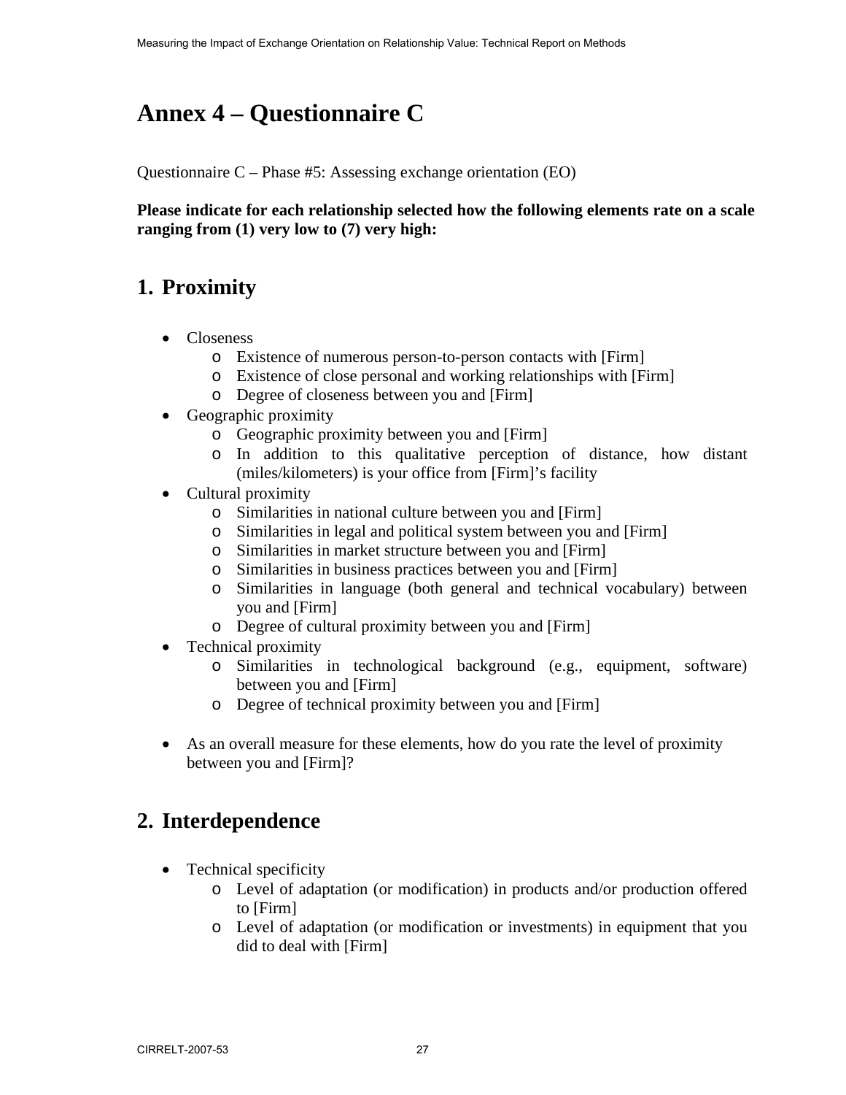# **Annex 4 – Questionnaire C**

Questionnaire C – Phase #5: Assessing exchange orientation (EO)

**Please indicate for each relationship selected how the following elements rate on a scale ranging from (1) very low to (7) very high:** 

## **1. Proximity**

- Closeness
	- o Existence of numerous person-to-person contacts with [Firm]
	- o Existence of close personal and working relationships with [Firm]
	- o Degree of closeness between you and [Firm]
- Geographic proximity
	- o Geographic proximity between you and [Firm]
	- o In addition to this qualitative perception of distance, how distant (miles/kilometers) is your office from [Firm]'s facility
- Cultural proximity
	- o Similarities in national culture between you and [Firm]
	- o Similarities in legal and political system between you and [Firm]
	- o Similarities in market structure between you and [Firm]
	- o Similarities in business practices between you and [Firm]
	- o Similarities in language (both general and technical vocabulary) between you and [Firm]
	- o Degree of cultural proximity between you and [Firm]
- Technical proximity
	- o Similarities in technological background (e.g., equipment, software) between you and [Firm]
	- o Degree of technical proximity between you and [Firm]
- As an overall measure for these elements, how do you rate the level of proximity between you and [Firm]?

## **2. Interdependence**

- Technical specificity
	- o Level of adaptation (or modification) in products and/or production offered to [Firm]
	- o Level of adaptation (or modification or investments) in equipment that you did to deal with [Firm]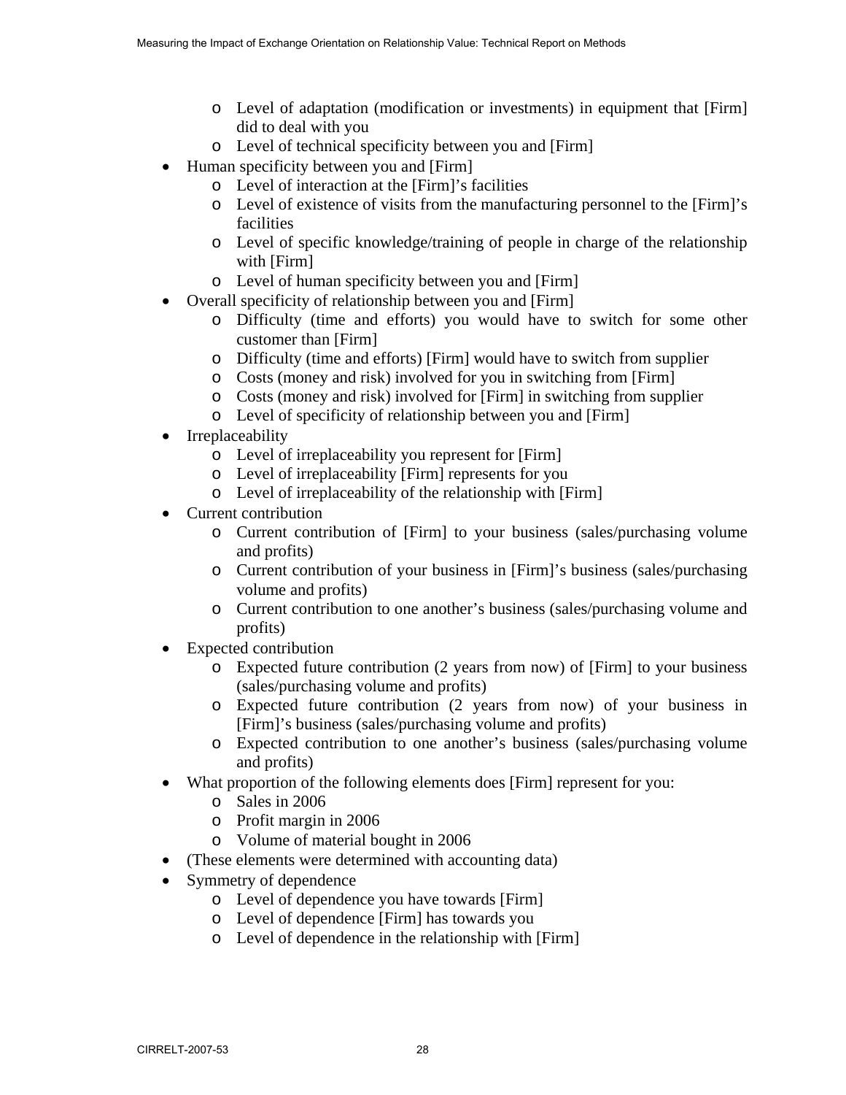- o Level of adaptation (modification or investments) in equipment that [Firm] did to deal with you
- o Level of technical specificity between you and [Firm]
- Human specificity between you and [Firm]
	- o Level of interaction at the [Firm]'s facilities
	- o Level of existence of visits from the manufacturing personnel to the [Firm]'s facilities
	- o Level of specific knowledge/training of people in charge of the relationship with [Firm]
	- o Level of human specificity between you and [Firm]
- Overall specificity of relationship between you and [Firm]
	- o Difficulty (time and efforts) you would have to switch for some other customer than [Firm]
	- o Difficulty (time and efforts) [Firm] would have to switch from supplier
	- o Costs (money and risk) involved for you in switching from [Firm]
	- o Costs (money and risk) involved for [Firm] in switching from supplier
	- o Level of specificity of relationship between you and [Firm]
- Irreplaceability
	- o Level of irreplaceability you represent for [Firm]
	- o Level of irreplaceability [Firm] represents for you
	- o Level of irreplaceability of the relationship with [Firm]
- Current contribution
	- o Current contribution of [Firm] to your business (sales/purchasing volume and profits)
	- o Current contribution of your business in [Firm]'s business (sales/purchasing volume and profits)
	- o Current contribution to one another's business (sales/purchasing volume and profits)
- Expected contribution
	- o Expected future contribution (2 years from now) of [Firm] to your business (sales/purchasing volume and profits)
	- o Expected future contribution (2 years from now) of your business in [Firm]'s business (sales/purchasing volume and profits)
	- o Expected contribution to one another's business (sales/purchasing volume and profits)
- What proportion of the following elements does [Firm] represent for you:
	- o Sales in 2006
	- o Profit margin in 2006
	- o Volume of material bought in 2006
- (These elements were determined with accounting data)
- Symmetry of dependence
	- o Level of dependence you have towards [Firm]
	- o Level of dependence [Firm] has towards you
	- o Level of dependence in the relationship with [Firm]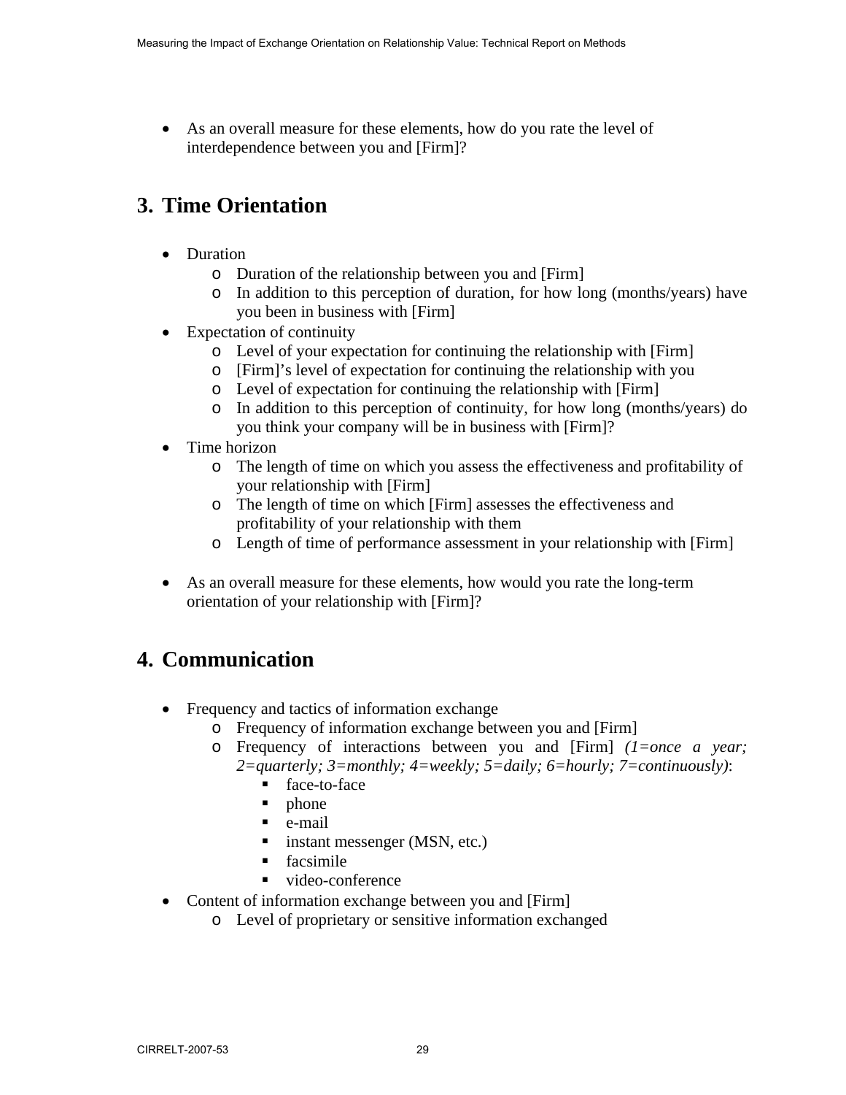• As an overall measure for these elements, how do you rate the level of interdependence between you and [Firm]?

## **3. Time Orientation**

- Duration
	- o Duration of the relationship between you and [Firm]
	- o In addition to this perception of duration, for how long (months/years) have you been in business with [Firm]
- Expectation of continuity
	- o Level of your expectation for continuing the relationship with [Firm]
	- o [Firm]'s level of expectation for continuing the relationship with you
	- o Level of expectation for continuing the relationship with [Firm]
	- o In addition to this perception of continuity, for how long (months/years) do you think your company will be in business with [Firm]?
- Time horizon
	- o The length of time on which you assess the effectiveness and profitability of your relationship with [Firm]
	- o The length of time on which [Firm] assesses the effectiveness and profitability of your relationship with them
	- o Length of time of performance assessment in your relationship with [Firm]
- As an overall measure for these elements, how would you rate the long-term orientation of your relationship with [Firm]?

## **4. Communication**

- Frequency and tactics of information exchange
	- o Frequency of information exchange between you and [Firm]
	- o Frequency of interactions between you and [Firm] *(1=once a year; 2=quarterly; 3=monthly; 4=weekly; 5=daily; 6=hourly; 7=continuously)*:
		- face-to-face
		- $\blacksquare$  phone
		- e-mail
		- instant messenger (MSN, etc.)
		- **facsimile**
		- video-conference
- Content of information exchange between you and [Firm]
	- o Level of proprietary or sensitive information exchanged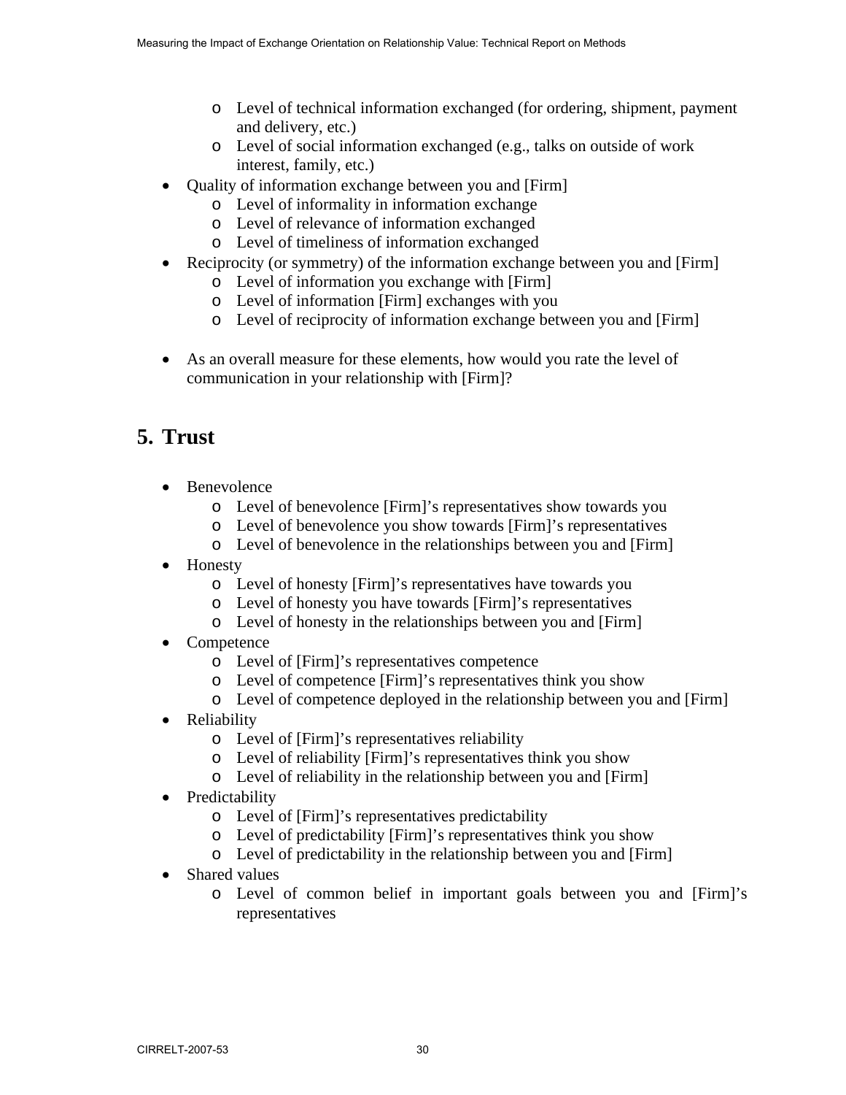- o Level of technical information exchanged (for ordering, shipment, payment and delivery, etc.)
- o Level of social information exchanged (e.g., talks on outside of work interest, family, etc.)
- Quality of information exchange between you and [Firm]
	- o Level of informality in information exchange
	- o Level of relevance of information exchanged
	- o Level of timeliness of information exchanged
- Reciprocity (or symmetry) of the information exchange between you and [Firm]
	- o Level of information you exchange with [Firm]
	- o Level of information [Firm] exchanges with you
	- o Level of reciprocity of information exchange between you and [Firm]
- As an overall measure for these elements, how would you rate the level of communication in your relationship with [Firm]?

# **5. Trust**

- **Benevolence** 
	- o Level of benevolence [Firm]'s representatives show towards you
	- o Level of benevolence you show towards [Firm]'s representatives
	- o Level of benevolence in the relationships between you and [Firm]
- Honesty
	- o Level of honesty [Firm]'s representatives have towards you
	- o Level of honesty you have towards [Firm]'s representatives
	- o Level of honesty in the relationships between you and [Firm]
- Competence
	- o Level of [Firm]'s representatives competence
	- o Level of competence [Firm]'s representatives think you show
	- o Level of competence deployed in the relationship between you and [Firm]
- Reliability
	- o Level of [Firm]'s representatives reliability
	- o Level of reliability [Firm]'s representatives think you show
	- o Level of reliability in the relationship between you and [Firm]
- Predictability
	- o Level of [Firm]'s representatives predictability
	- o Level of predictability [Firm]'s representatives think you show
	- o Level of predictability in the relationship between you and [Firm]
- Shared values
	- o Level of common belief in important goals between you and [Firm]'s representatives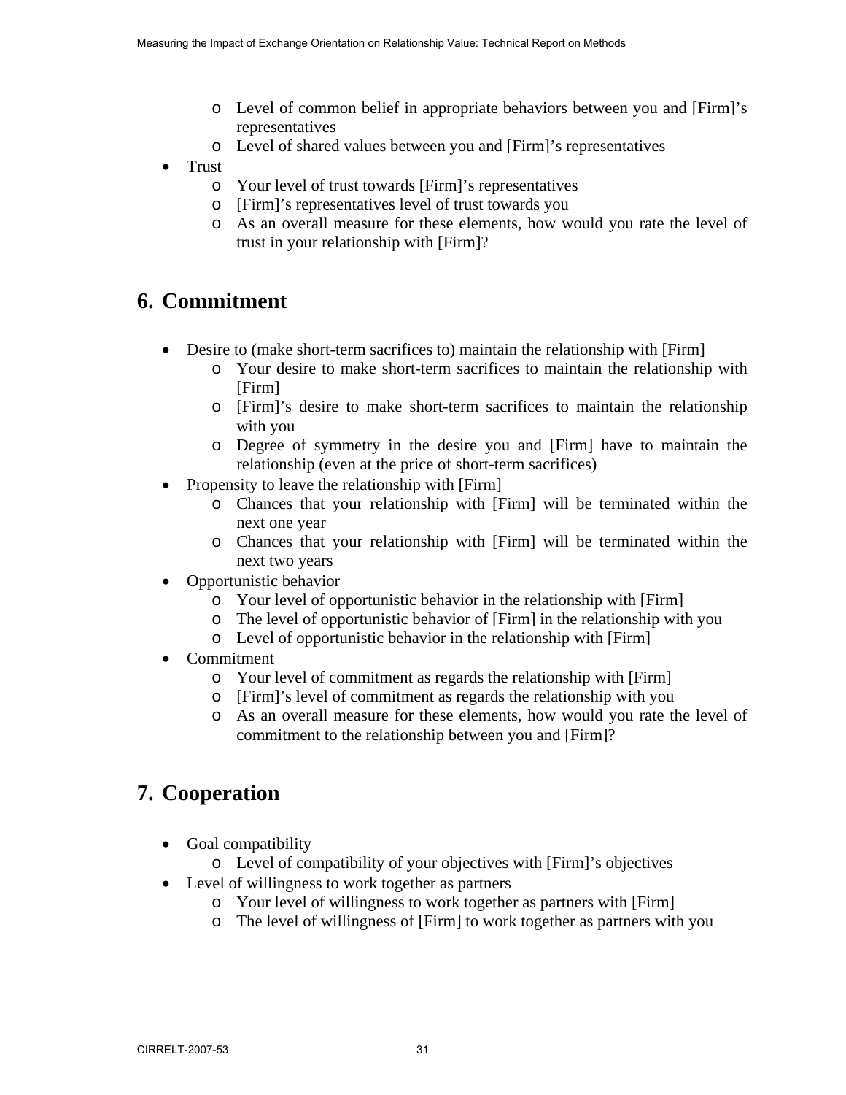- o Level of common belief in appropriate behaviors between you and [Firm]'s representatives
- o Level of shared values between you and [Firm]'s representatives
- Trust
	- o Your level of trust towards [Firm]'s representatives
	- o [Firm]'s representatives level of trust towards you
	- o As an overall measure for these elements, how would you rate the level of trust in your relationship with [Firm]?

## **6. Commitment**

- Desire to (make short-term sacrifices to) maintain the relationship with [Firm]
	- o Your desire to make short-term sacrifices to maintain the relationship with [Firm]
	- o [Firm]'s desire to make short-term sacrifices to maintain the relationship with you
	- o Degree of symmetry in the desire you and [Firm] have to maintain the relationship (even at the price of short-term sacrifices)
- Propensity to leave the relationship with [Firm]
	- o Chances that your relationship with [Firm] will be terminated within the next one year
	- o Chances that your relationship with [Firm] will be terminated within the next two years
- Opportunistic behavior
	- o Your level of opportunistic behavior in the relationship with [Firm]
	- o The level of opportunistic behavior of [Firm] in the relationship with you
	- o Level of opportunistic behavior in the relationship with [Firm]
- Commitment
	- o Your level of commitment as regards the relationship with [Firm]
	- o [Firm]'s level of commitment as regards the relationship with you
	- o As an overall measure for these elements, how would you rate the level of commitment to the relationship between you and [Firm]?

## **7. Cooperation**

- Goal compatibility
	- o Level of compatibility of your objectives with [Firm]'s objectives
- Level of willingness to work together as partners
	- o Your level of willingness to work together as partners with [Firm]
	- o The level of willingness of [Firm] to work together as partners with you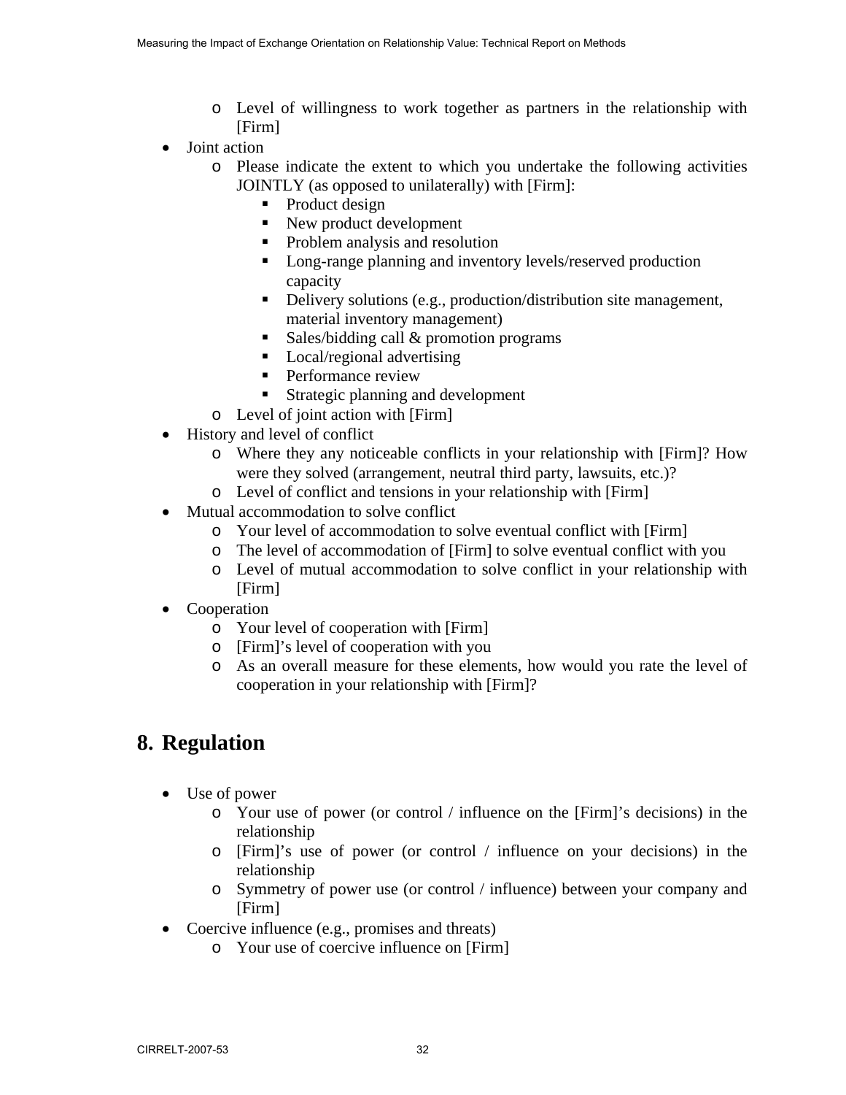- o Level of willingness to work together as partners in the relationship with [Firm]
- Joint action
	- o Please indicate the extent to which you undertake the following activities JOINTLY (as opposed to unilaterally) with [Firm]:
		- Product design
		- New product development
		- Problem analysis and resolution
		- **Long-range planning and inventory levels/reserved production** capacity
		- Delivery solutions (e.g., production/distribution site management, material inventory management)
		- Sales/bidding call  $&$  promotion programs
		- **Local/regional advertising**
		- **Performance review**
		- Strategic planning and development
	- o Level of joint action with [Firm]
- History and level of conflict
	- o Where they any noticeable conflicts in your relationship with [Firm]? How were they solved (arrangement, neutral third party, lawsuits, etc.)?
	- o Level of conflict and tensions in your relationship with [Firm]
- Mutual accommodation to solve conflict
	- o Your level of accommodation to solve eventual conflict with [Firm]
	- o The level of accommodation of [Firm] to solve eventual conflict with you
	- o Level of mutual accommodation to solve conflict in your relationship with [Firm]
- Cooperation
	- o Your level of cooperation with [Firm]
	- o [Firm]'s level of cooperation with you
	- o As an overall measure for these elements, how would you rate the level of cooperation in your relationship with [Firm]?

## **8. Regulation**

- Use of power
	- o Your use of power (or control / influence on the [Firm]'s decisions) in the relationship
	- o [Firm]'s use of power (or control / influence on your decisions) in the relationship
	- o Symmetry of power use (or control / influence) between your company and [Firm]
- Coercive influence (e.g., promises and threats)
	- o Your use of coercive influence on [Firm]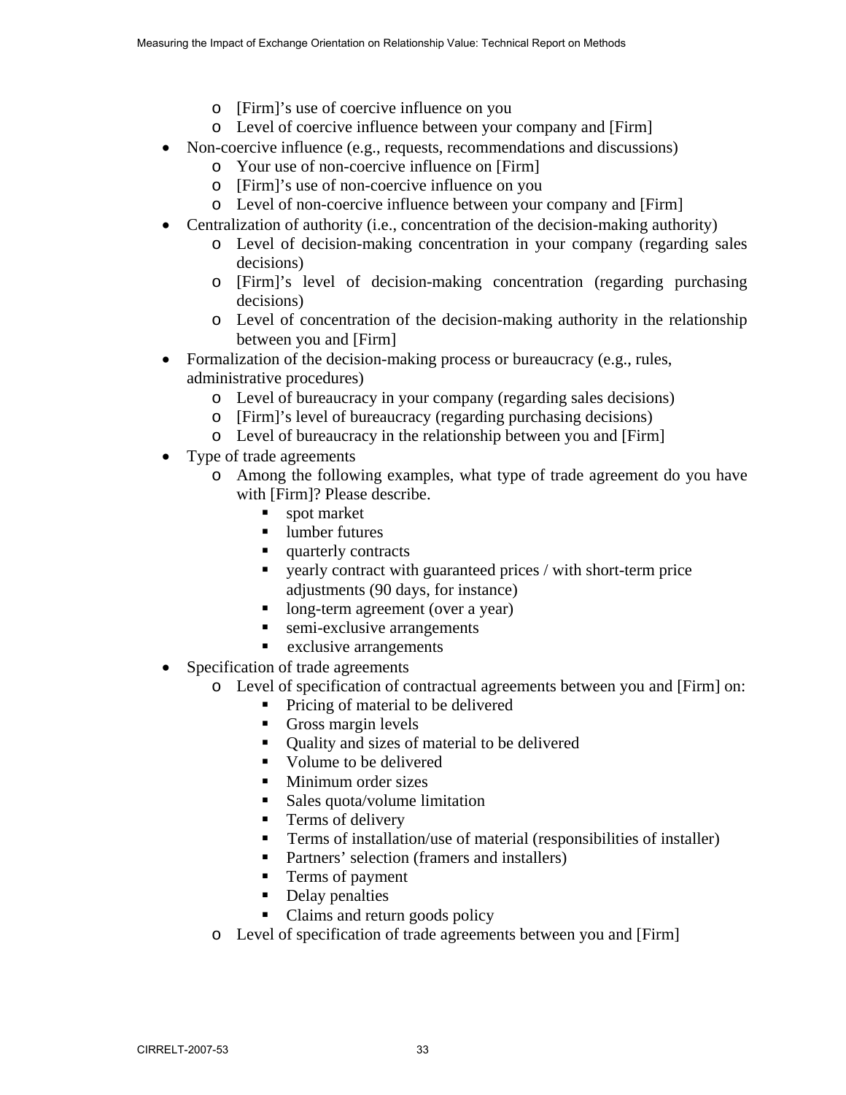- o [Firm]'s use of coercive influence on you
- o Level of coercive influence between your company and [Firm]
- Non-coercive influence (e.g., requests, recommendations and discussions)
	- o Your use of non-coercive influence on [Firm]
	- o [Firm]'s use of non-coercive influence on you
	- o Level of non-coercive influence between your company and [Firm]
- Centralization of authority (i.e., concentration of the decision-making authority)
	- o Level of decision-making concentration in your company (regarding sales decisions)
	- o [Firm]'s level of decision-making concentration (regarding purchasing decisions)
	- o Level of concentration of the decision-making authority in the relationship between you and [Firm]
- Formalization of the decision-making process or bureaucracy (e.g., rules, administrative procedures)
	- o Level of bureaucracy in your company (regarding sales decisions)
	- o [Firm]'s level of bureaucracy (regarding purchasing decisions)
	- o Level of bureaucracy in the relationship between you and [Firm]
- Type of trade agreements
	- o Among the following examples, what type of trade agreement do you have with [Firm]? Please describe.
		- spot market
		- lumber futures
		- quarterly contracts
		- yearly contract with guaranteed prices / with short-term price adjustments (90 days, for instance)
		- **I** long-term agreement (over a year)
		- **semi-exclusive arrangements**
		- **EXECUTE:** exclusive arrangements
- Specification of trade agreements
	- o Level of specification of contractual agreements between you and [Firm] on:
		- Pricing of material to be delivered
		- Gross margin levels
		- Quality and sizes of material to be delivered
		- Volume to be delivered
		- **Minimum order sizes**
		- Sales quota/volume limitation
		- **Terms of delivery**
		- **Terms of installation/use of material (responsibilities of installer)**
		- Partners' selection (framers and installers)
		- Terms of payment
		- Delay penalties
		- Claims and return goods policy
	- o Level of specification of trade agreements between you and [Firm]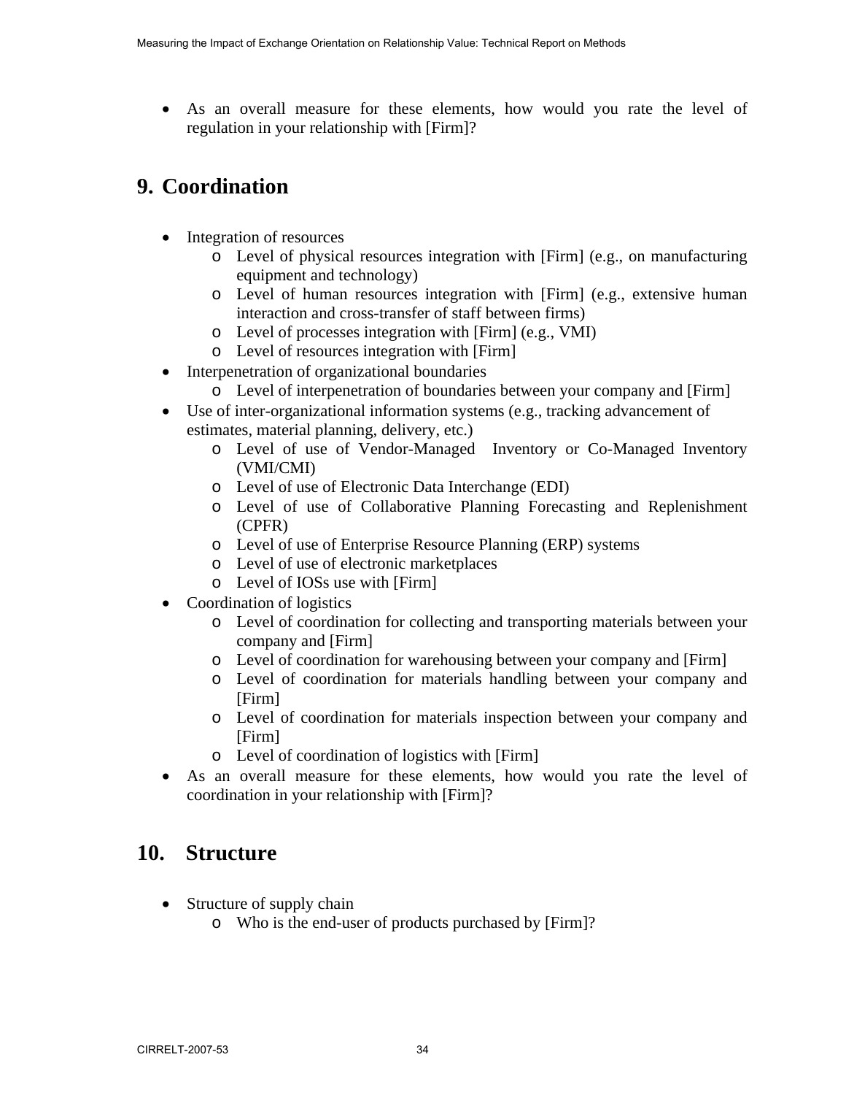• As an overall measure for these elements, how would you rate the level of regulation in your relationship with [Firm]?

### **9. Coordination**

- Integration of resources
	- o Level of physical resources integration with [Firm] (e.g., on manufacturing equipment and technology)
	- o Level of human resources integration with [Firm] (e.g., extensive human interaction and cross-transfer of staff between firms)
	- o Level of processes integration with [Firm] (e.g., VMI)
	- o Level of resources integration with [Firm]
- Interpenetration of organizational boundaries
	- o Level of interpenetration of boundaries between your company and [Firm]
- Use of inter-organizational information systems (e.g., tracking advancement of estimates, material planning, delivery, etc.)
	- o Level of use of Vendor-Managed Inventory or Co-Managed Inventory (VMI/CMI)
	- o Level of use of Electronic Data Interchange (EDI)
	- o Level of use of Collaborative Planning Forecasting and Replenishment (CPFR)
	- o Level of use of Enterprise Resource Planning (ERP) systems
	- o Level of use of electronic marketplaces
	- o Level of IOSs use with [Firm]
- Coordination of logistics
	- o Level of coordination for collecting and transporting materials between your company and [Firm]
	- o Level of coordination for warehousing between your company and [Firm]
	- o Level of coordination for materials handling between your company and [Firm]
	- o Level of coordination for materials inspection between your company and [Firm]
	- o Level of coordination of logistics with [Firm]
- As an overall measure for these elements, how would you rate the level of coordination in your relationship with [Firm]?

### **10. Structure**

- Structure of supply chain
	- o Who is the end-user of products purchased by [Firm]?